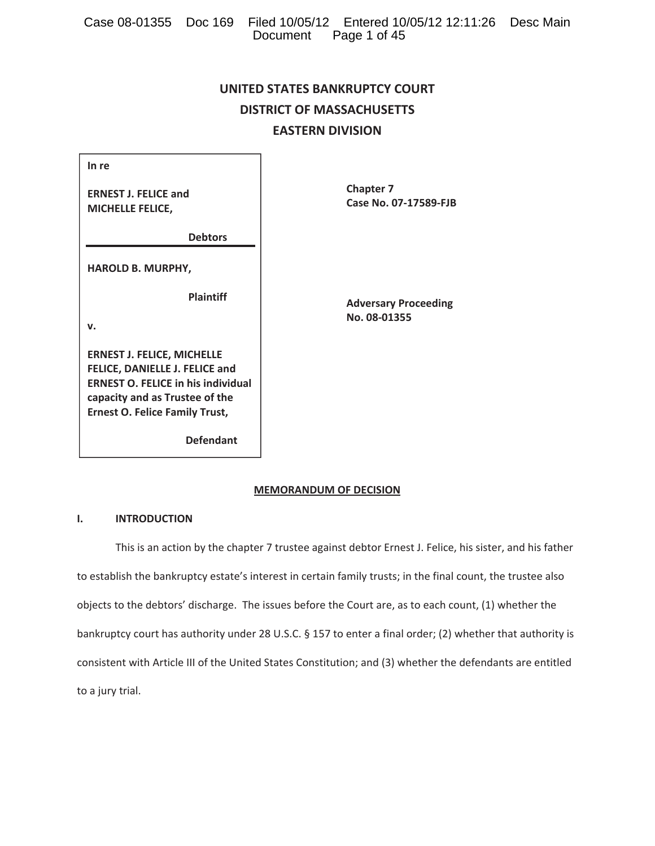|  |                       | Case 08-01355 Doc 169 Filed 10/05/12 Entered 10/05/12 12:11:26 Desc Main |  |
|--|-----------------------|--------------------------------------------------------------------------|--|
|  | Document Page 1 of 45 |                                                                          |  |

# **UNITED STATES BANKRUPTCY COURT DISTRICT OF MASSACHUSETTS EASTERN DIVISION**

| In re                       |
|-----------------------------|
| <b>ERNEST J. FELICE and</b> |
| <b>MICHELLE FELICE.</b>     |

 **Debtors**

**HAROLD B. MURPHY,**

 **Plaintiff**

**v.**

**ERNEST J. FELICE, MICHELLE FELICE, DANIELLE J. FELICE and ERNEST O. FELICE in his individual capacity and as Trustee of the Ernest O. Felice Family Trust,**

 **Defendant**

 **Chapter 7**   $Case No. 07-17589-FJB$ 

> **Adversary Proceeding**  $No. 08 - 01355$

# **MEMORANDUM OF DECISION**

# **I. INTRODUCTION**

This is an action by the chapter 7 trustee against debtor Ernest J. Felice, his sister, and his father to establish the bankruptcy estate's interest in certain family trusts; in the final count, the trustee also objects to the debtors' discharge. The issues before the Court are, as to each count, (1) whether the bankruptcy court has authority under 28 U.S.C. § 157 to enter a final order; (2) whether that authority is consistent with Article III of the United States Constitution; and (3) whether the defendants are entitled to a jury trial.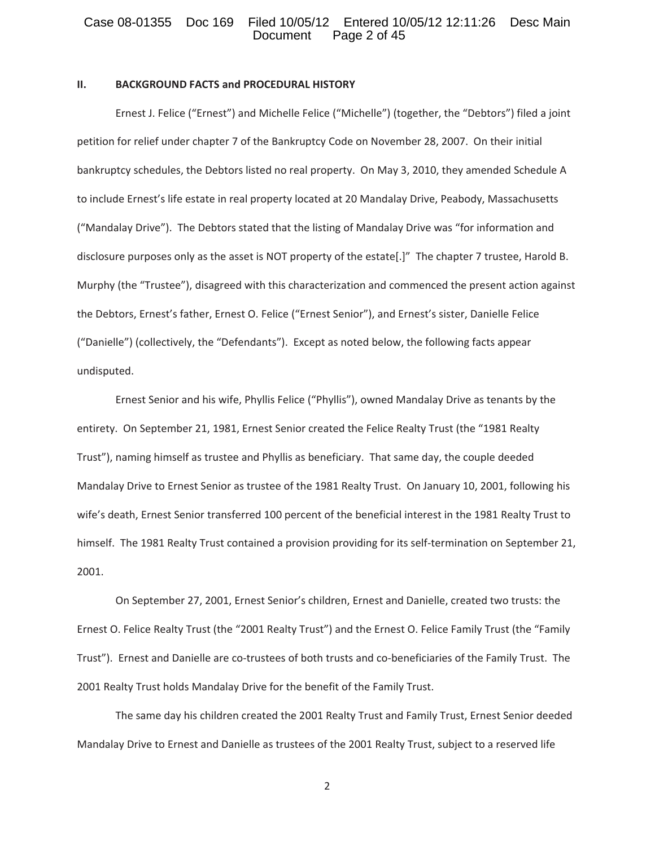### Case 08-01355 Doc 169 Filed 10/05/12 Entered 10/05/12 12:11:26 Desc Main<br>Document Page 2 of 45 Page 2 of 45

#### **II. BACKGROUND FACTS and PROCEDURAL HISTORY**

Ernest J. Felice ("Ernest") and Michelle Felice ("Michelle") (together, the "Debtors") filed a joint petition for relief under chapter 7 of the Bankruptcy Code on November 28, 2007. On their initial bankruptcy schedules, the Debtors listed no real property. On May 3, 2010, they amended Schedule A to include Ernest's life estate in real property located at 20 Mandalay Drive, Peabody, Massachusetts ("Mandalay Drive"). The Debtors stated that the listing of Mandalay Drive was "for information and disclosure purposes only as the asset is NOT property of the estate[.]" The chapter 7 trustee, Harold B. Murphy (the "Trustee"), disagreed with this characterization and commenced the present action against the Debtors, Ernest's father, Ernest O. Felice ("Ernest Senior"), and Ernest's sister, Danielle Felice ("Danielle") (collectively, the "Defendants").Except as noted below, the following facts appear undisputed.

Ernest Senior and his wife, Phyllis Felice ("Phyllis"), owned Mandalay Drive as tenants by the entirety. On September 21, 1981, Ernest Senior created the Felice Realty Trust (the "1981 Realty Trust"), naming himself as trustee and Phyllis as beneficiary.That same day, the couple deeded Mandalay Drive to Ernest Senior as trustee of the 1981 Realty Trust. On January 10, 2001, following his wife's death, Ernest Senior transferred 100 percent of the beneficial interest in the 1981 Realty Trust to himself. The 1981 Realty Trust contained a provision providing for its self-termination on September 21, 2001.

On September 27, 2001, Ernest Senior's children, Ernest and Danielle, created two trusts: the Ernest O. Felice Realty Trust (the "2001 Realty Trust") and the Ernest O. Felice Family Trust (the "Family Trust"). Ernest and Danielle are co-trustees of both trusts and co-beneficiaries of the Family Trust. The 2001 Realty Trust holds Mandalay Drive for the benefit of the Family Trust.

The same day his children created the 2001 Realty Trust and Family Trust, Ernest Senior deeded Mandalay Drive to Ernest and Danielle as trustees of the 2001 Realty Trust, subject to a reserved life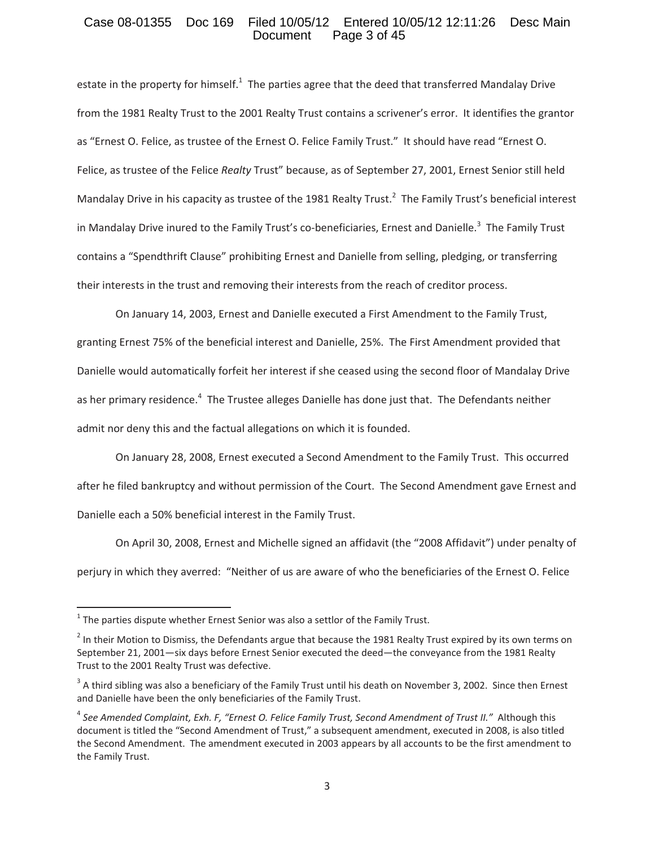### Case 08-01355 Doc 169 Filed 10/05/12 Entered 10/05/12 12:11:26 Desc Main<br>Document Page 3 of 45 Page 3 of 45

estate in the property for himself.<sup>1</sup> The parties agree that the deed that transferred Mandalay Drive from the 1981 Realty Trust to the 2001 Realty Trust contains a scrivener's error. It identifies the grantor as "Ernest O. Felice, as trustee of the Ernest O. Felice Family Trust." It should have read "Ernest O. Felice, as trustee of the Felice *Realty* Trust" because, as of September 27, 2001, Ernest Senior still held Mandalay Drive in his capacity as trustee of the 1981 Realty Trust.<sup>2</sup> The Family Trust's beneficial interest in Mandalay Drive inured to the Family Trust's co-beneficiaries, Ernest and Danielle.<sup>3</sup> The Family Trust contains a "Spendthrift Clause" prohibiting Ernest and Danielle from selling, pledging, or transferring their interests in the trust and removing their interests from the reach of creditor process.

On January 14, 2003, Ernest and Danielle executed a First Amendment to the Family Trust, granting Ernest 75% of the beneficial interest and Danielle, 25%. The First Amendment provided that Danielle would automatically forfeit her interest if she ceased using the second floor of Mandalay Drive as her primary residence.<sup>4</sup> The Trustee alleges Danielle has done just that. The Defendants neither admit nor deny this and the factual allegations on which it is founded.

On January 28, 2008, Ernest executed a Second Amendment to the Family Trust.This occurred after he filed bankruptcy and without permission of the Court. The Second Amendment gave Ernest and Danielle each a 50% beneficial interest in the Family Trust.

On April 30, 2008, Ernest and Michelle signed an affidavit (the "2008 Affidavit") under penalty of perjury in which they averred:"Neither of us are aware of who the beneficiaries of the Ernest O. Felice

 $1$  The parties dispute whether Ernest Senior was also a settlor of the Family Trust.

<sup>&</sup>lt;sup>2</sup> In their Motion to Dismiss, the Defendants argue that because the 1981 Realty Trust expired by its own terms on September 21, 2001—six days before Ernest Senior executed the deed—the conveyance from the 1981 Realty Trust to the 2001 Realty Trust was defective.

 $3$  A third sibling was also a beneficiary of the Family Trust until his death on November 3, 2002. Since then Ernest and Danielle have been the only beneficiaries of the Family Trust.

<sup>4</sup> *See Amended Complaint, Exh. F, "Ernest O. Felice Family Trust, Second Amendment of Trust II."*Although this document is titled the "Second Amendment of Trust," a subsequent amendment, executed in 2008, is also titled the Second Amendment. The amendment executed in 2003 appears by all accounts to be the first amendment to the Family Trust.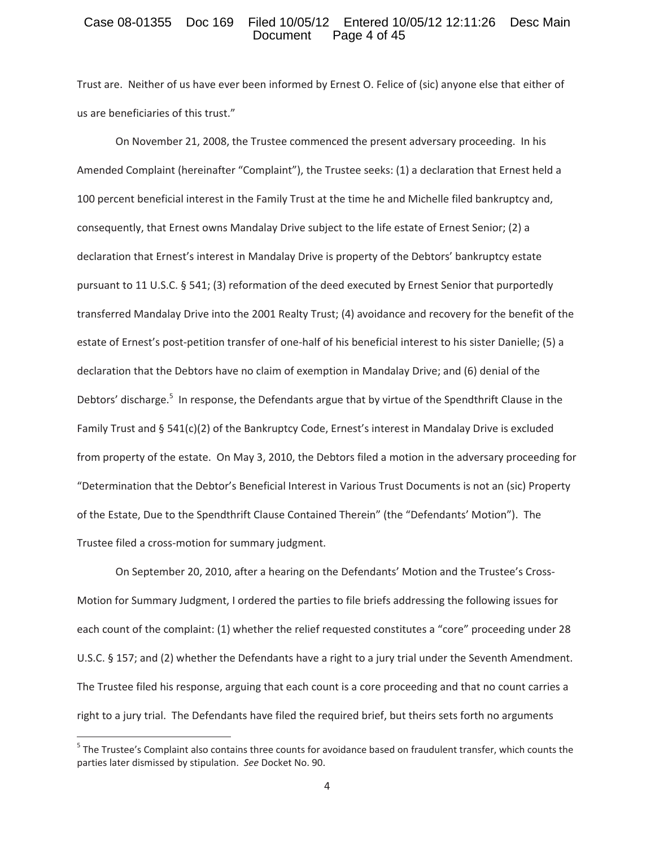### Case 08-01355 Doc 169 Filed 10/05/12 Entered 10/05/12 12:11:26 Desc Main<br>Document Page 4 of 45 Page 4 of 45

Trust are. Neither of us have ever been informed by Ernest O. Felice of (sic) anyone else that either of us are beneficiaries of this trust."

On November 21, 2008, the Trustee commenced the present adversary proceeding. In his Amended Complaint (hereinafter "Complaint"), the Trustee seeks: (1) a declaration that Ernest held a 100 percent beneficial interest in the Family Trust at the time he and Michelle filed bankruptcy and, consequently, that Ernest owns Mandalay Drive subject to the life estate of Ernest Senior; (2) a declaration that Ernest's interest in Mandalay Drive is property of the Debtors' bankruptcy estate pursuant to 11 U.S.C. § 541; (3) reformation of the deed executed by Ernest Senior that purportedly transferred Mandalay Drive into the 2001 Realty Trust; (4) avoidance and recovery for the benefit of the estate of Ernest's post-petition transfer of one-half of his beneficial interest to his sister Danielle; (5) a declaration that the Debtors have no claim of exemption in Mandalay Drive; and (6) denial of the Debtors' discharge.<sup>5</sup> In response, the Defendants argue that by virtue of the Spendthrift Clause in the Family Trust and § 541(c)(2) of the Bankruptcy Code, Ernest's interest in Mandalay Drive is excluded from property of the estate. On May 3, 2010, the Debtors filed a motion in the adversary proceeding for "Determination that the Debtor's Beneficial Interest in Various Trust Documents is not an (sic) Property of the Estate, Due to the Spendthrift Clause Contained Therein" (the "Defendants' Motion"). The Trustee filed a cross-motion for summary judgment.

On September 20, 2010, after a hearing on the Defendants' Motion and the Trustee's Cross-Motion for Summary Judgment, I ordered the parties to file briefs addressing the following issues for each count of the complaint: (1) whether the relief requested constitutes a "core" proceeding under 28 U.S.C. § 157; and (2) whether the Defendants have a right to a jury trial under the Seventh Amendment. The Trustee filed his response, arguing that each count is a core proceeding and that no count carries a right to a jury trial. The Defendants have filed the required brief, but theirs sets forth no arguments

 $5$  The Trustee's Complaint also contains three counts for avoidance based on fraudulent transfer, which counts the parties later dismissed by stipulation.*See* Docket No. 90.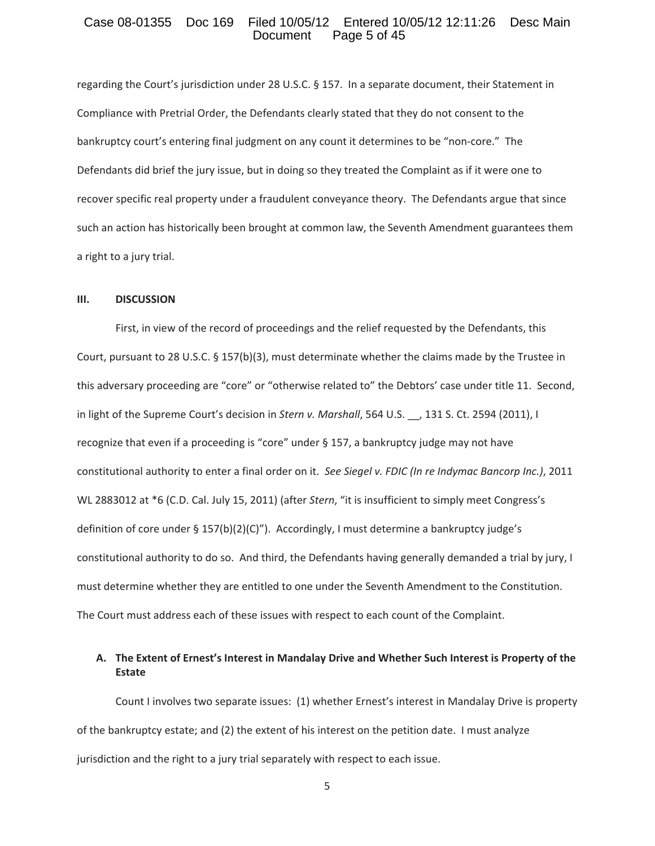### Case 08-01355 Doc 169 Filed 10/05/12 Entered 10/05/12 12:11:26 Desc Main<br>Document Page 5 of 45 Page 5 of 45

regarding the Court's jurisdiction under 28 U.S.C. § 157. In a separate document, their Statement in Compliance with Pretrial Order, the Defendants clearly stated that they do not consent to the bankruptcy court's entering final judgment on any count it determines to be "non-core." The Defendants did brief the jury issue, but in doing so they treated the Complaint as if it were one to recover specific real property under a fraudulent conveyance theory. The Defendants argue that since such an action has historically been brought at common law, the Seventh Amendment guarantees them a right to a jury trial.

#### **III. DISCUSSION**

First, in view of the record of proceedings and the relief requested by the Defendants, this Court, pursuant to 28 U.S.C. § 157(b)(3), must determinate whether the claims made by the Trustee in this adversary proceeding are "core" or "otherwise related to" the Debtors' case under title 11. Second, in light of the Supreme Court's decision in *Stern v. Marshall*, 564 U.S. \_\_, 131 S. Ct. 2594 (2011), I recognize that even if a proceeding is "core" under § 157, a bankruptcy judge may not have constitutional authority to enter a final order on it.*See Siegel v. FDIC (In re Indymac Bancorp Inc.)*, 2011 WL 2883012 at \*6 (C.D. Cal. July 15, 2011) (after *Stern*, "it is insufficient to simply meet Congress's definition of core under  $\S 157(b)(2)(C)$ "). Accordingly, I must determine a bankruptcy judge's constitutional authority to do so. And third, the Defendants having generally demanded a trial by jury, I must determine whether they are entitled to one under the Seventh Amendment to the Constitution. The Court must address each of these issues with respect to each count of the Complaint.

# **A. The Extent of Ernest's Interest in Mandalay Drive and Whether Such Interest is Property of the Estate**

Count I involves two separate issues:(1) whether Ernest's interest in Mandalay Drive is property of the bankruptcy estate; and (2) the extent of his interest on the petition date.I must analyze jurisdiction and the right to a jury trial separately with respect to each issue.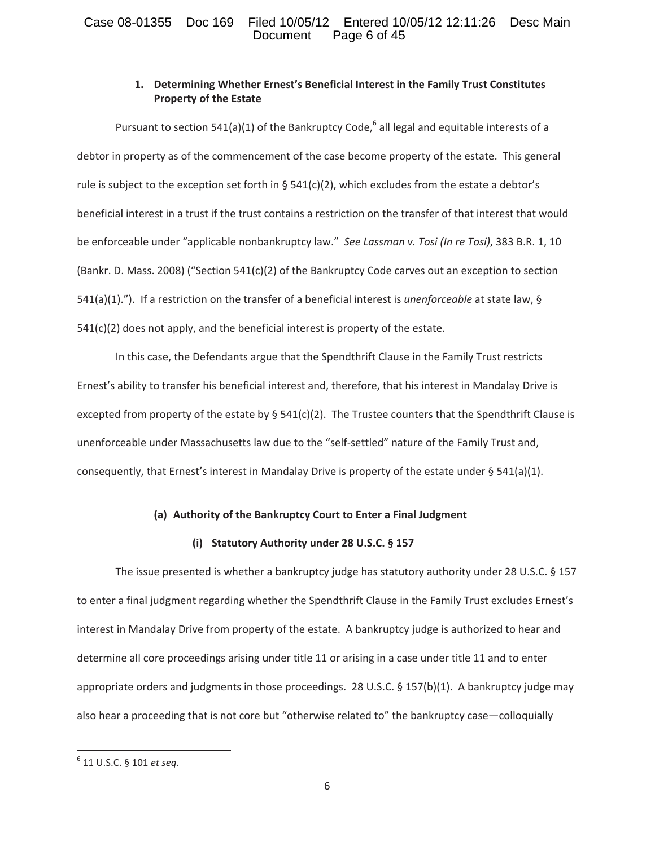# Case 08-01355 Doc 169 Filed 10/05/12 Entered 10/05/12 12:11:26 Desc Main<br>Document Page 6 of 45 Page 6 of 45

# **1. Determining Whether Ernest's Beneficial Interest in the Family Trust Constitutes Property of the Estate**

Pursuant to section 541(a)(1) of the Bankruptcy Code,<sup>6</sup> all legal and equitable interests of a debtor in property as of the commencement of the case become property of the estate. This general rule is subject to the exception set forth in §  $541(c)(2)$ , which excludes from the estate a debtor's beneficial interest in a trust if the trust contains a restriction on the transfer of that interest that would be enforceable under "applicable nonbankruptcy law."*See Lassman v. Tosi (In re Tosi)*, 383 B.R. 1, 10 (Bankr. D. Mass. 2008) ("Section 541(c)(2) of the Bankruptcy Code carves out an exception to section 541(a)(1)."). If a restriction on the transfer of a beneficial interest is *unenforceable* at state law, §  $541(c)(2)$  does not apply, and the beneficial interest is property of the estate.

In this case, the Defendants argue that the Spendthrift Clause in the Family Trust restricts Ernest's ability to transfer his beneficial interest and, therefore, that his interest in Mandalay Drive is excepted from property of the estate by  $\S$  541(c)(2). The Trustee counters that the Spendthrift Clause is unenforceable under Massachusetts law due to the "self-settled" nature of the Family Trust and, consequently, that Ernest's interest in Mandalay Drive is property of the estate under § 541(a)(1).

# **(a) Authority of the Bankruptcy Court to Enter a Final Judgment**

### **(i) Statutory Authority under 28 U.S.C. § 157**

The issue presented is whether a bankruptcy judge has statutory authority under 28 U.S.C. § 157 to enter a final judgment regarding whether the Spendthrift Clause in the Family Trust excludes Ernest's interest in Mandalay Drive from property of the estate. A bankruptcy judge is authorized to hear and determine all core proceedings arising under title 11 or arising in a case under title 11 and to enter appropriate orders and judgments in those proceedings. 28 U.S.C. § 157(b)(1). A bankruptcy judge may also hear a proceeding that is not core but "otherwise related to" the bankruptcy case—colloquially

<sup>6</sup> 11 U.S.C. § 101 *et seq.*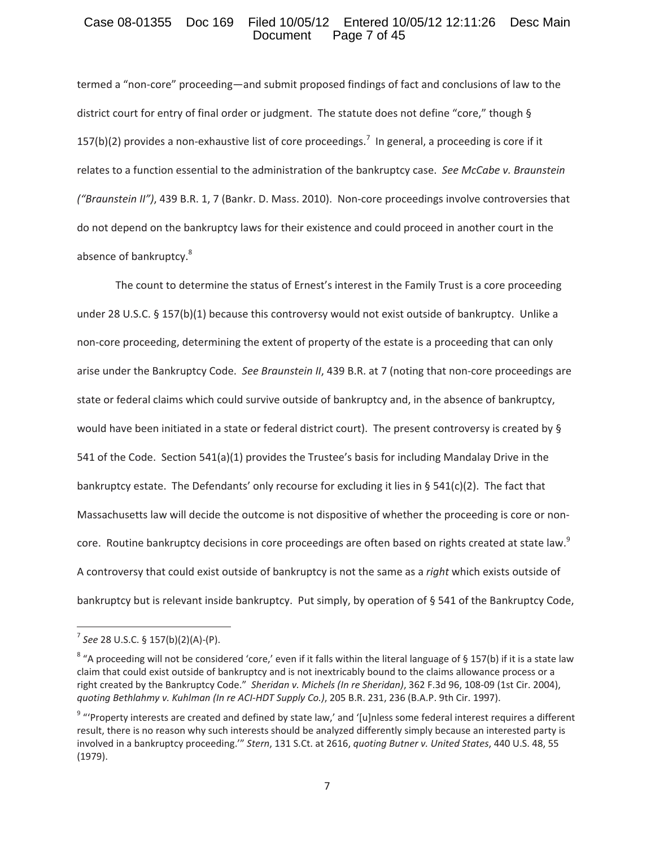### Case 08-01355 Doc 169 Filed 10/05/12 Entered 10/05/12 12:11:26 Desc Main<br>Document Page 7 of 45 Page 7 of 45

termed a "non-core" proceeding—and submit proposed findings of fact and conclusions of law to the district court for entry of final order or judgment. The statute does not define "core," though § 157(b)(2) provides a non-exhaustive list of core proceedings.<sup>7</sup> In general, a proceeding is core if it relates to a function essential to the administration of the bankruptcy case.*See McCabe v. Braunstein ("Braunstein II")*, 439 B.R. 1, 7 (Bankr. D. Mass. 2010). Non-core proceedings involve controversies that do not depend on the bankruptcy laws for their existence and could proceed in another court in the absence of bankruptcy.<sup>8</sup>

The count to determine the status of Ernest's interest in the Family Trust is a core proceeding under 28 U.S.C. § 157(b)(1) because this controversy would not exist outside of bankruptcy. Unlike a non-core proceeding, determining the extent of property of the estate is a proceeding that can only arise under the Bankruptcy Code. See Braunstein *II*, 439 B.R. at 7 (noting that non-core proceedings are state or federal claims which could survive outside of bankruptcy and, in the absence of bankruptcy, would have been initiated in a state or federal district court). The present controversy is created by § 541 of the Code. Section 541(a)(1) provides the Trustee's basis for including Mandalay Drive in the bankruptcy estate. The Defendants' only recourse for excluding it lies in § 541(c)(2). The fact that Massachusetts law will decide the outcome is not dispositive of whether the proceeding is core or noncore. Routine bankruptcy decisions in core proceedings are often based on rights created at state law.<sup>9</sup> A controversy that could exist outside of bankruptcy is not the same as a *right* which exists outside of bankruptcy but is relevant inside bankruptcy. Put simply, by operation of § 541 of the Bankruptcy Code,

 $7$  *See* 28 U.S.C. § 157(b)(2)(A)-(P).

 $8$  "A proceeding will not be considered 'core,' even if it falls within the literal language of § 157(b) if it is a state law claim that could exist outside of bankruptcy and is not inextricably bound to the claims allowance process or a right created by the Bankruptcy Code." Sheridan *v. Michels* (In re Sheridan), 362 F.3d 96, 108-09 (1st Cir. 2004), *quoting Bethlahmy v. Kuhlman (In re ACIͲHDT Supply Co.)*, 205 B.R. 231, 236 (B.A.P. 9th Cir. 1997).

<sup>&</sup>lt;sup>9</sup> "'Property interests are created and defined by state law,' and '[u]nless some federal interest requires a different result, there is no reason why such interests should be analyzed differently simply because an interested party is involved in a bankruptcy proceeding.'" *Stern*, 131 S.Ct. at 2616, *quoting Butner v. United States*, 440 U.S. 48, 55 (1979).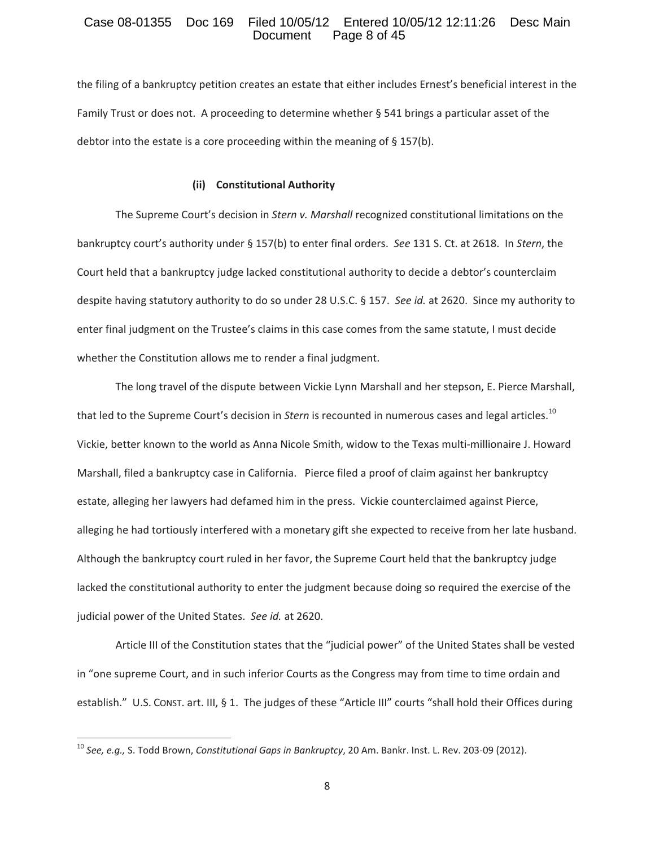### Case 08-01355 Doc 169 Filed 10/05/12 Entered 10/05/12 12:11:26 Desc Main<br>Document Page 8 of 45 Page 8 of 45

the filing of a bankruptcy petition creates an estate that either includes Ernest's beneficial interest in the Family Trust or does not. A proceeding to determine whether  $\S$  541 brings a particular asset of the debtor into the estate is a core proceeding within the meaning of § 157(b).

#### **(ii)Constitutional Authority**

The Supreme Court's decision in *Stern v. Marshall* recognized constitutional limitations on the bankruptcy court's authority under § 157(b) to enter final orders.*See* 131 S. Ct. at 2618.In *Stern*, the Court held that a bankruptcy judge lacked constitutional authority to decide a debtor's counterclaim despite having statutory authority to do so under 28 U.S.C. § 157. See *id.* at 2620. Since my authority to enter final judgment on the Trustee's claims in this case comes from the same statute, I must decide whether the Constitution allows me to render a final judgment.

The long travel of the dispute between Vickie Lynn Marshall and her stepson, E. Pierce Marshall, that led to the Supreme Court's decision in *Stern* is recounted in numerous cases and legal articles.<sup>10</sup> Vickie, better known to the world as Anna Nicole Smith, widow to the Texas multi-millionaire J. Howard Marshall, filed a bankruptcy case in California. Pierce filed a proof of claim against her bankruptcy estate, alleging her lawyers had defamed him in the press. Vickie counterclaimed against Pierce, alleging he had tortiously interfered with a monetary gift she expected to receive from her late husband. Although the bankruptcy court ruled in her favor, the Supreme Court held that the bankruptcy judge lacked the constitutional authority to enter the judgment because doing so required the exercise of the judicial power of the United States.*See id.* at 2620.

Article III of the Constitution states that the "judicial power" of the United States shall be vested in "one supreme Court, and in such inferior Courts as the Congress may from time to time ordain and establish." U.S. CONST. art. III, § 1. The judges of these "Article III" courts "shall hold their Offices during

<sup>&</sup>lt;sup>10</sup> See, e.g., S. Todd Brown, *Constitutional Gaps in Bankruptcy*, 20 Am. Bankr. Inst. L. Rev. 203-09 (2012).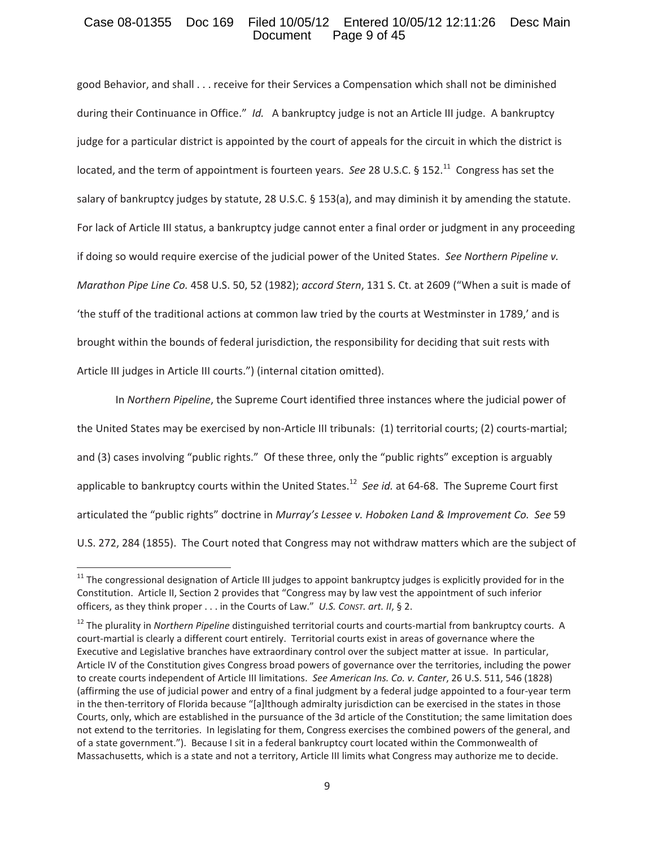### Case 08-01355 Doc 169 Filed 10/05/12 Entered 10/05/12 12:11:26 Desc Main<br>Document Page 9 of 45 Page 9 of 45

good Behavior, and shall . . . receive for their Services a Compensation which shall not be diminished during their Continuance in Office." Id. A bankruptcy judge is not an Article III judge. A bankruptcy judge for a particular district is appointed by the court of appeals for the circuit in which the district is located, and the term of appointment is fourteen years. See 28 U.S.C. § 152.<sup>11</sup> Congress has set the salary of bankruptcy judges by statute, 28 U.S.C. § 153(a), and may diminish it by amending the statute. For lack of Article III status, a bankruptcy judge cannot enter a final order or judgment in any proceeding if doing so would require exercise of the judicial power of the United States.*See Northern Pipeline v. Marathon Pipe Line Co.* 458 U.S. 50, 52 (1982); *accord Stern*, 131 S. Ct. at 2609 ("When a suit is made of 'the stuff of the traditional actions at common law tried by the courts at Westminster in 1789,' and is brought within the bounds of federal jurisdiction, the responsibility for deciding that suit rests with Article III judges in Article III courts.") (internal citation omitted).

In *Northern Pipeline*, the Supreme Court identified three instances where the judicial power of the United States may be exercised by non-Article III tribunals: (1) territorial courts; (2) courts-martial; and (3) cases involving "public rights." Of these three, only the "public rights" exception is arguably applicable to bankruptcy courts within the United States.<sup>12</sup> See *id.* at 64-68. The Supreme Court first articulated the "public rights" doctrine in *Murray's Lessee v. Hoboken Land & Improvement Co. See* 59 U.S. 272, 284 (1855). The Court noted that Congress may not withdraw matters which are the subject of

<sup>&</sup>lt;sup>11</sup> The congressional designation of Article III judges to appoint bankruptcy judges is explicitly provided for in the Constitution. Article II, Section 2 provides that "Congress may by law vest the appointment of such inferior officers, as they think proper . . . in the Courts of Law."*U.S. CONST. art. II*, § 2.

<sup>&</sup>lt;sup>12</sup> The plurality in *Northern Pipeline* distinguished territorial courts and courts-martial from bankruptcy courts. A court-martial is clearly a different court entirely. Territorial courts exist in areas of governance where the Executive and Legislative branches have extraordinary control over the subject matter at issue. In particular, Article IV of the Constitution gives Congress broad powers of governance over the territories, including the power to create courts independent of Article III limitations.*See American Ins. Co. v. Canter*, 26 U.S. 511, 546 (1828) (affirming the use of judicial power and entry of a final judgment by a federal judge appointed to a four-year term in the then-territory of Florida because "[a]lthough admiralty jurisdiction can be exercised in the states in those Courts, only, which are established in the pursuance of the 3d article of the Constitution; the same limitation does not extend to the territories. In legislating for them, Congress exercises the combined powers of the general, and of a state government."). Because I sit in a federal bankruptcy court located within the Commonwealth of Massachusetts, which is a state and not a territory, Article III limits what Congress may authorize me to decide.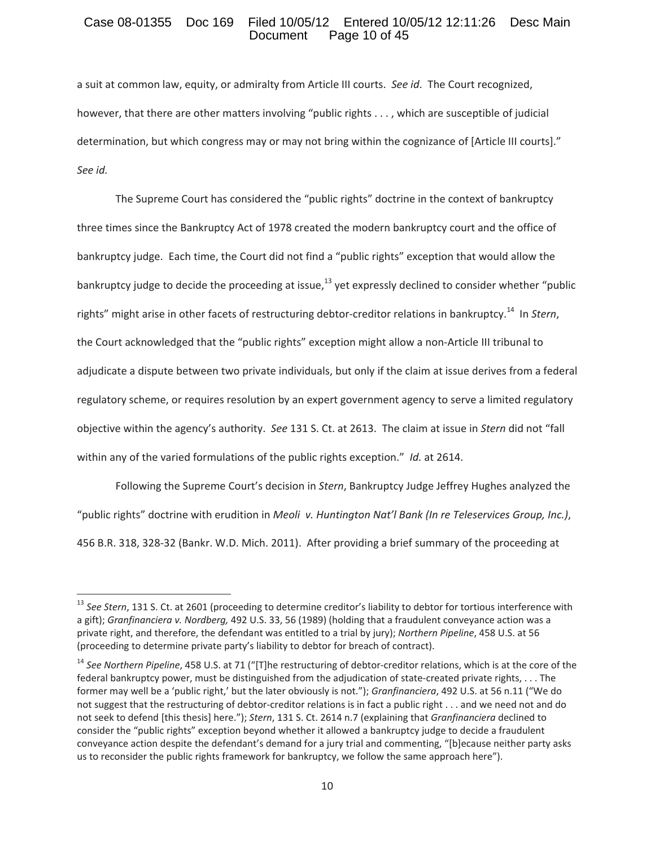### Case 08-01355 Doc 169 Filed 10/05/12 Entered 10/05/12 12:11:26 Desc Main<br>Document Page 10 of 45 Page 10 of 45

a suit at common law, equity, or admiralty from Article III courts.*See id*.The Court recognized, however, that there are other matters involving "public rights . . . , which are susceptible of judicial determination, but which congress may or may not bring within the cognizance of [Article III courts]." *See id.*

The Supreme Court has considered the "public rights" doctrine in the context of bankruptcy three times since the Bankruptcy Act of 1978 created the modern bankruptcy court and the office of bankruptcy judge. Each time, the Court did not find a "public rights" exception that would allow the bankruptcy judge to decide the proceeding at issue, $^{13}$  yet expressly declined to consider whether "public rights" might arise in other facets of restructuring debtor-creditor relations in bankruptcy.<sup>14</sup> In *Stern*. the Court acknowledged that the "public rights" exception might allow a non-Article III tribunal to adjudicate a dispute between two private individuals, but only if the claim at issue derives from a federal regulatory scheme, or requires resolution by an expert government agency to serve a limited regulatory objective within the agency's authority.*See* 131 S. Ct. at 2613.The claim at issue in *Stern* did not "fall within any of the varied formulations of the public rights exception." *Id.* at 2614.

Following the Supreme Court's decision in *Stern*, Bankruptcy Judge Jeffrey Hughes analyzed the "public rights" doctrine with erudition in *Meoliv. Huntington Nat'l Bank (In re Teleservices Group, Inc.)*, 456 B.R. 318, 328-32 (Bankr. W.D. Mich. 2011). After providing a brief summary of the proceeding at

<sup>13</sup> *See Stern*, 131 S. Ct. at 2601 (proceeding to determine creditor's liability to debtor for tortious interference with a gift); *Granfinanciera v. Nordberg,* 492 U.S. 33, 56 (1989) (holding that a fraudulent conveyance action was a private right, and therefore, the defendant was entitled to a trial by jury); *Northern Pipeline*, 458 U.S. at 56 (proceeding to determine private party's liability to debtor for breach of contract).

<sup>&</sup>lt;sup>14</sup> See Northern Pipeline, 458 U.S. at 71 ("[T]he restructuring of debtor-creditor relations, which is at the core of the federal bankruptcy power, must be distinguished from the adjudication of state-created private rights, . . . The former may well be a 'public right,' but the later obviously is not."); *Granfinanciera*, 492 U.S. at 56 n.11 ("We do not suggest that the restructuring of debtor-creditor relations is in fact a public right . . . and we need not and do not seek to defend [this thesis] here."); *Stern*, 131 S. Ct. 2614 n.7 (explaining that *Granfinanciera* declined to consider the "public rights" exception beyond whether it allowed a bankruptcy judge to decide a fraudulent conveyance action despite the defendant's demand for a jury trial and commenting, "[b]ecause neither party asks us to reconsider the public rights framework for bankruptcy, we follow the same approach here").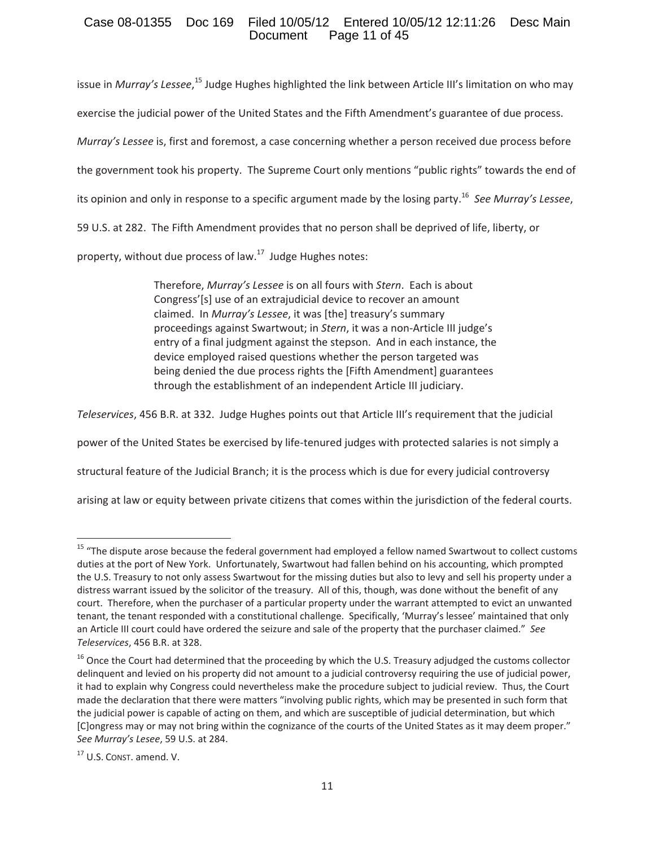# Case 08-01355 Doc 169 Filed 10/05/12 Entered 10/05/12 12:11:26 Desc Main Page 11 of 45

issue in *Murray's Lessee,* <sup>15</sup> Judge Hughes highlighted the link between Article III's limitation on who may exercise the judicial power of the United States and the Fifth Amendment's guarantee of due process. *Murray's Lessee* is, first and foremost, a case concerning whether a person received due process before the government took his property. The Supreme Court only mentions "public rights" towards the end of its opinion and only in response to a specific argument made by the losing party.16*See Murray's Lessee*, 59 U.S. at 282. The Fifth Amendment provides that no person shall be deprived of life, liberty, or

property, without due process of law.<sup>17</sup> Judge Hughes notes:

Therefore, *Murray's Lessee* is on all fours with *Stern*.Each is about Congress'[s] use of an extrajudicial device to recover an amount claimed. In *Murray's Lessee*, it was [the] treasury's summary proceedings against Swartwout; in *Stern*, it was a non-Article III judge's entry of a final judgment against the stepson. And in each instance, the device employed raised questions whether the person targeted was being denied the due process rights the [Fifth Amendment] guarantees through the establishment of an independent Article III judiciary.

*Teleservices*, 456 B.R. at 332.Judge Hughes points out that Article III's requirement that the judicial

power of the United States be exercised by life-tenured judges with protected salaries is not simply a

structural feature of the Judicial Branch; it is the process which is due for every judicial controversy

arising at law or equity between private citizens that comes within the jurisdiction of the federal courts.

<sup>&</sup>lt;sup>15</sup> "The dispute arose because the federal government had employed a fellow named Swartwout to collect customs duties at the port of New York. Unfortunately, Swartwout had fallen behind on his accounting, which prompted the U.S. Treasury to not only assess Swartwout for the missing duties but also to levy and sell his property under a distress warrant issued by the solicitor of the treasury. All of this, though, was done without the benefit of any court. Therefore, when the purchaser of a particular property under the warrant attempted to evict an unwanted tenant, the tenant responded with a constitutional challenge. Specifically, 'Murray's lessee' maintained that only an Article III court could have ordered the seizure and sale of the property that the purchaser claimed."*See Teleservices*, 456 B.R. at 328.

<sup>&</sup>lt;sup>16</sup> Once the Court had determined that the proceeding by which the U.S. Treasury adjudged the customs collector delinquent and levied on his property did not amount to a judicial controversy requiring the use of judicial power, it had to explain why Congress could nevertheless make the procedure subject to judicial review. Thus, the Court made the declaration that there were matters "involving public rights, which may be presented in such form that the judicial power is capable of acting on them, and which are susceptible of judicial determination, but which [C]ongress may or may not bring within the cognizance of the courts of the United States as it may deem proper." *See Murray's Lesee*, 59 U.S. at 284.

<sup>17</sup> U.S. CONST. amend. V.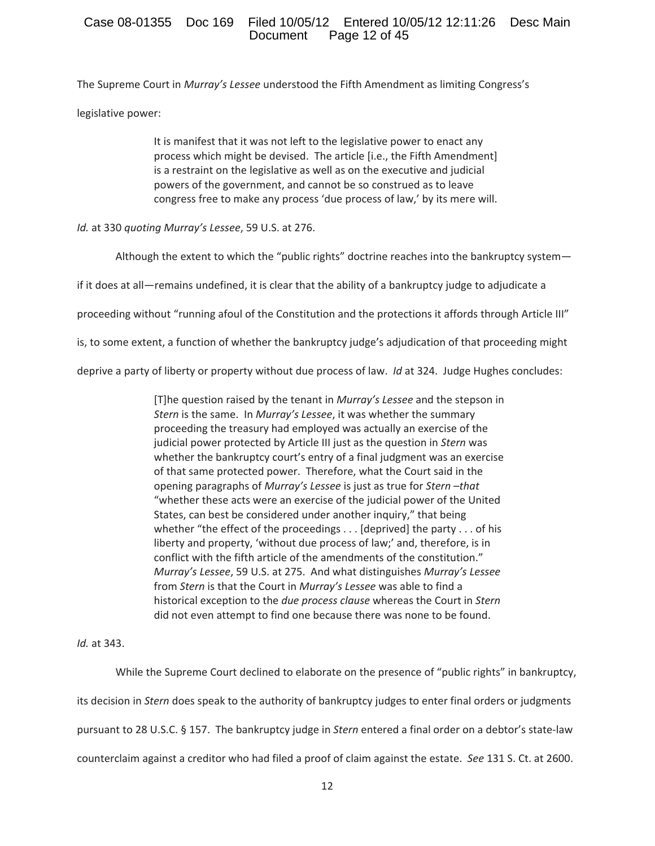# Case 08-01355 Doc 169 Filed 10/05/12 Entered 10/05/12 12:11:26 Desc Main Page 12 of 45

The Supreme Court in *Murray's Lessee* understood the Fifth Amendment as limiting Congress's legislative power:

> It is manifest that it was not left to the legislative power to enact any process which might be devised. The article [i.e., the Fifth Amendment] is a restraint on the legislative as well as on the executive and judicial powers of the government, and cannot be so construed as to leave congress free to make any process 'due process of law,' by its mere will.

*Id.* at 330 *quoting Murray's Lessee*, 59 U.S. at 276.

Although the extent to which the "public rights" doctrine reaches into the bankruptcy system—

if it does at all—remains undefined, it is clear that the ability of a bankruptcy judge to adjudicate a

proceeding without "running afoul of the Constitution and the protections it affords through Article III"

is, to some extent, a function of whether the bankruptcy judge's adjudication of that proceeding might

deprive a party of liberty or property without due process of law.*Id* at 324.Judge Hughes concludes:

[T]he question raised by the tenant in *Murray's Lessee* and the stepson in *Stern* is the same. In *Murray's Lessee*, it was whether the summary proceeding the treasury had employed was actually an exercise of the judicial power protected by Article III just as the question in *Stern* was whether the bankruptcy court's entry of a final judgment was an exercise of that same protected power. Therefore, what the Court said in the opening paragraphs of *Murray's Lessee* is just as true for *Stern* –*that* "whether these acts were an exercise of the judicial power of the United States, can best be considered under another inquiry," that being whether "the effect of the proceedings . . . [deprived] the party . . . of his liberty and property, 'without due process of law;' and, therefore, is in conflict with the fifth article of the amendments of the constitution." *Murray's Lessee*, 59 U.S. at 275.And what distinguishes *Murray's Lessee* from *Stern* is that the Court in *Murray's Lessee* was able to find a historical exception to the *due process clause* whereas the Court in *Stern* did not even attempt to find one because there was none to be found.

*Id.* at 343.

While the Supreme Court declined to elaborate on the presence of "public rights" in bankruptcy,

its decision in *Stern* does speak to the authority of bankruptcy judges to enter final orders or judgments

pursuant to 28 U.S.C. § 157. The bankruptcy judge in *Stern* entered a final order on a debtor's state-law

counterclaim against a creditor who had filed a proof of claim against the estate.*See* 131 S. Ct. at 2600.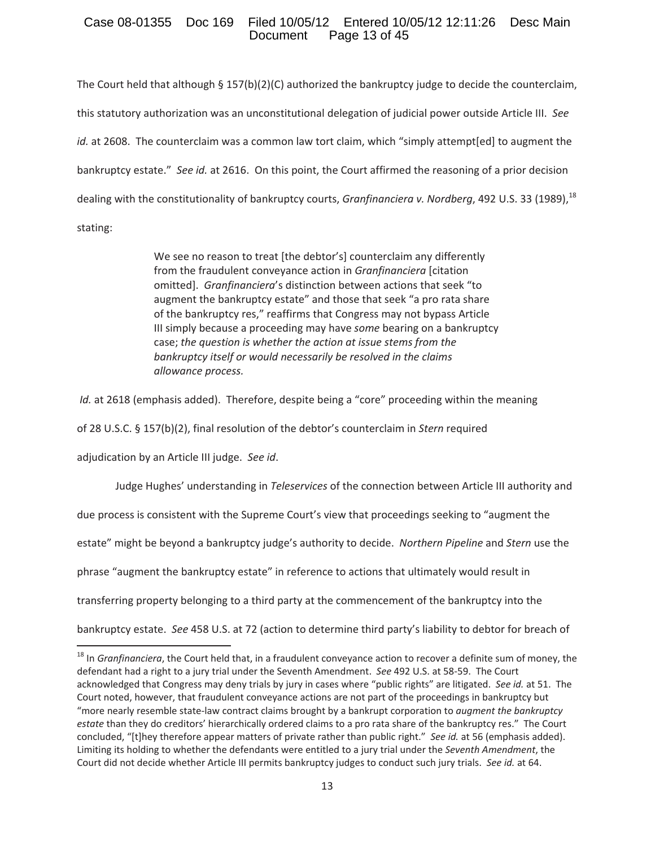# Case 08-01355 Doc 169 Filed 10/05/12 Entered 10/05/12 12:11:26 Desc Main Page 13 of 45

The Court held that although § 157(b)(2)(C) authorized the bankruptcy judge to decide the counterclaim, this statutory authorization was an unconstitutional delegation of judicial power outside Article III.*See id.* at 2608. The counterclaim was a common law tort claim, which "simply attempt[ed] to augment the bankruptcy estate." See id. at 2616. On this point, the Court affirmed the reasoning of a prior decision dealing with the constitutionality of bankruptcy courts, *Granfinanciera v. Nordberg*, 492 U.S. 33 (1989), <sup>18</sup> stating:

> We see no reason to treat [the debtor's] counterclaim any differently from the fraudulent conveyance action in *Granfinanciera* [citation omitted].*Granfinanciera*'s distinction between actions that seek "to augment the bankruptcy estate" and those that seek "a pro rata share of the bankruptcy res," reaffirms that Congress may not bypass Article III simply because a proceeding may have *some* bearing on a bankruptcy case; *the question is whether the action at issue stems from the bankruptcy itself or would necessarily be resolved in the claims allowance process.*

*Id.* at 2618 (emphasis added). Therefore, despite being a "core" proceeding within the meaning

of 28 U.S.C. § 157(b)(2), final resolution of the debtor's counterclaim in *Stern* required

adjudication by an Article III judge.*See id*.

Judge Hughes' understanding in *Teleservices* of the connection between Article III authority and

due process is consistent with the Supreme Court's view that proceedings seeking to "augment the

estate" might be beyond a bankruptcy judge's authority to decide.*Northern Pipeline* and *Stern* use the

phrase "augment the bankruptcy estate" in reference to actions that ultimately would result in

transferring property belonging to a third party at the commencement of the bankruptcy into the

bankruptcy estate.*See* 458 U.S. at 72 (action to determine third party's liability to debtor for breach of

<sup>&</sup>lt;sup>18</sup> In *Granfinanciera*, the Court held that, in a fraudulent conveyance action to recover a definite sum of money, the defendant had a right to a jury trial under the Seventh Amendment. See 492 U.S. at 58-59. The Court acknowledged that Congress may deny trials by jury in cases where "public rights" are litigated. See id. at 51. The Court noted, however, that fraudulent conveyance actions are not part of the proceedings in bankruptcy but "more nearly resemble state-law contract claims brought by a bankrupt corporation to *augment the bankruptcy estate* than they do creditors' hierarchically ordered claims to a pro rata share of the bankruptcy res."The Court concluded, "[t]hey therefore appear matters of private rather than public right." See *id.* at 56 (emphasis added). Limiting its holding to whether the defendants were entitled to a jury trial under the *Seventh Amendment*, the Court did not decide whether Article III permits bankruptcy judges to conduct such jury trials.*See id.* at 64.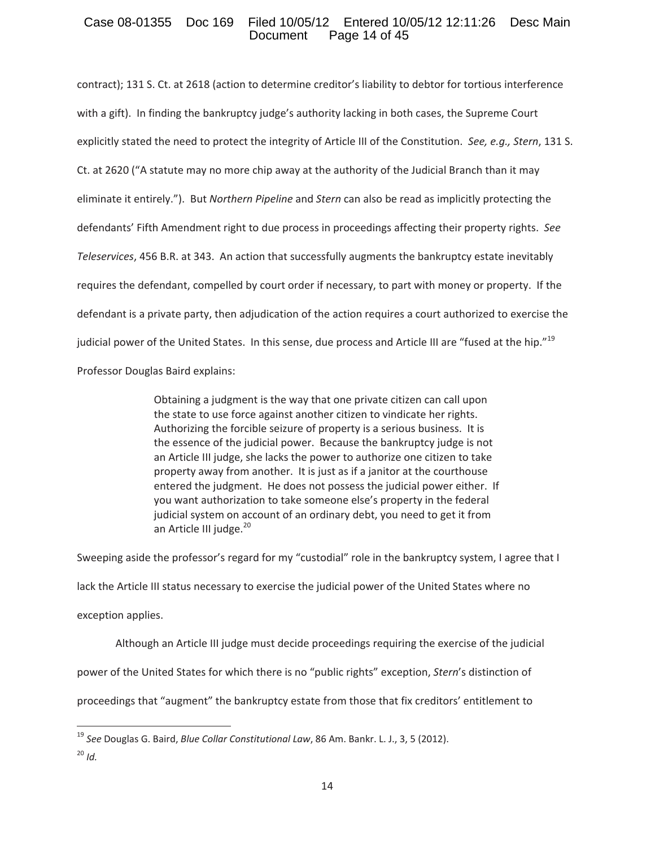# Case 08-01355 Doc 169 Filed 10/05/12 Entered 10/05/12 12:11:26 Desc Main Page 14 of 45

contract); 131 S. Ct. at 2618 (action to determine creditor's liability to debtor for tortious interference with a gift). In finding the bankruptcy judge's authority lacking in both cases, the Supreme Court explicitly stated the need to protect the integrity of Article III of the Constitution.*See, e.g., Stern*, 131 S. Ct. at 2620 ("A statute may no more chip away at the authority of the Judicial Branch than it may eliminate it entirely."). But *Northern Pipeline* and *Stern* can also be read as implicitly protecting the defendants' Fifth Amendment right to due process in proceedings affecting their property rights.*See* Teleservices, 456 B.R. at 343. An action that successfully augments the bankruptcy estate inevitably requires the defendant, compelled by court order if necessary, to part with money or property. If the defendant is a private party, then adjudication of the action requires a court authorized to exercise the judicial power of the United States. In this sense, due process and Article III are "fused at the hip."<sup>19</sup> Professor Douglas Baird explains:

> Obtaining a judgment is the way that one private citizen can call upon the state to use force against another citizen to vindicate her rights. Authorizing the forcible seizure of property is a serious business. It is the essence of the judicial power. Because the bankruptcy judge is not an Article III judge, she lacks the power to authorize one citizen to take property away from another. It is just as if a janitor at the courthouse entered the judgment. He does not possess the judicial power either. If you want authorization to take someone else's property in the federal judicial system on account of an ordinary debt, you need to get it from an Article III judge.<sup>20</sup>

Sweeping aside the professor's regard for my "custodial" role in the bankruptcy system, I agree that I lack the Article III status necessary to exercise the judicial power of the United States where no exception applies.

Although an Article III judge must decide proceedings requiring the exercise of the judicial

power of the United States for which there is no "public rights" exception, *Stern*'s distinction of

proceedings that "augment" the bankruptcy estate from those that fix creditors' entitlement to

<sup>19</sup> *See* Douglas G. Baird, *Blue Collar Constitutional Law*, 86 Am. Bankr. L. J., 3, 5 (2012).  $^{20}$  *Id.*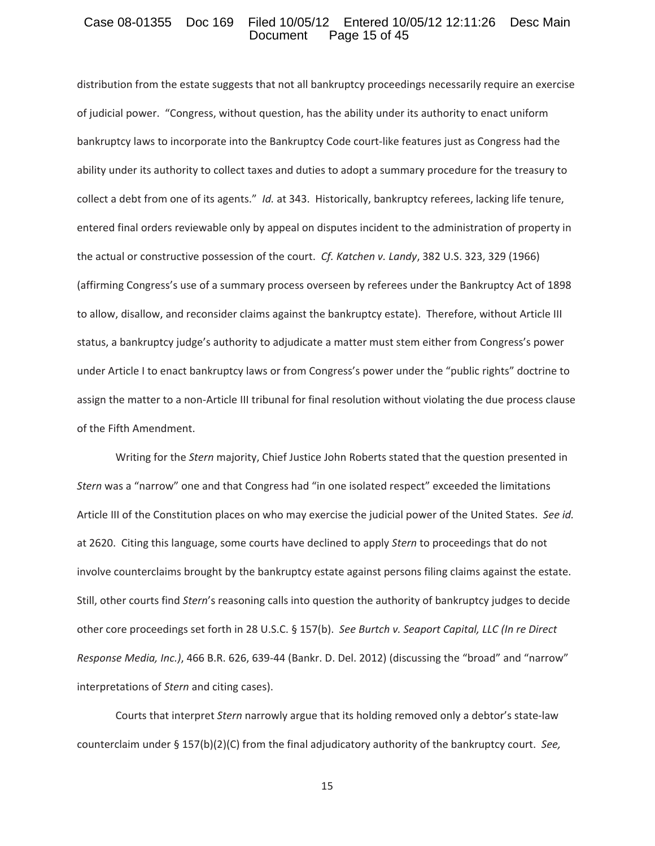### Case 08-01355 Doc 169 Filed 10/05/12 Entered 10/05/12 12:11:26 Desc Main<br>Document Page 15 of 45 Page 15 of 45

distribution from the estate suggests that not all bankruptcy proceedings necessarily require an exercise of judicial power."Congress, without question, has the ability under its authority to enact uniform bankruptcy laws to incorporate into the Bankruptcy Code court-like features just as Congress had the ability under its authority to collect taxes and duties to adopt a summary procedure for the treasury to collect a debt from one of its agents." *Id.* at 343. Historically, bankruptcy referees, lacking life tenure, entered final orders reviewable only by appeal on disputes incident to the administration of property in the actual or constructive possession of the court.*Cf. Katchen v. Landy*, 382 U.S. 323, 329 (1966) (affirming Congress's use of a summary process overseen by referees under the Bankruptcy Act of 1898 to allow, disallow, and reconsider claims against the bankruptcy estate). Therefore, without Article III status, a bankruptcy judge's authority to adjudicate a matter must stem either from Congress's power under Article I to enact bankruptcy laws or from Congress's power under the "public rights" doctrine to assign the matter to a non-Article III tribunal for final resolution without violating the due process clause of the Fifth Amendment.

Writing for the *Stern* majority, Chief Justice John Roberts stated that the question presented in *Stern* was a "narrow" one and that Congress had "in one isolated respect" exceeded the limitations Article III of the Constitution places on who may exercise the judicial power of the United States.*See id.* at 2620. Citing this language, some courts have declined to apply *Stern* to proceedings that do not involve counterclaims brought by the bankruptcy estate against persons filing claims against the estate. Still, other courts find *Stern*'s reasoning calls into question the authority of bankruptcy judges to decide other core proceedings set forth in 28 U.S.C. § 157(b).*See Burtch v. Seaport Capital, LLC (In re Direct Response Media, Inc.),* 466 B.R. 626, 639-44 (Bankr. D. Del. 2012) (discussing the "broad" and "narrow" interpretations of *Stern* and citing cases).

Courts that interpret *Stern* narrowly argue that its holding removed only a debtor's state-law counterclaim under § 157(b)(2)(C) from the final adjudicatory authority of the bankruptcy court.*See,*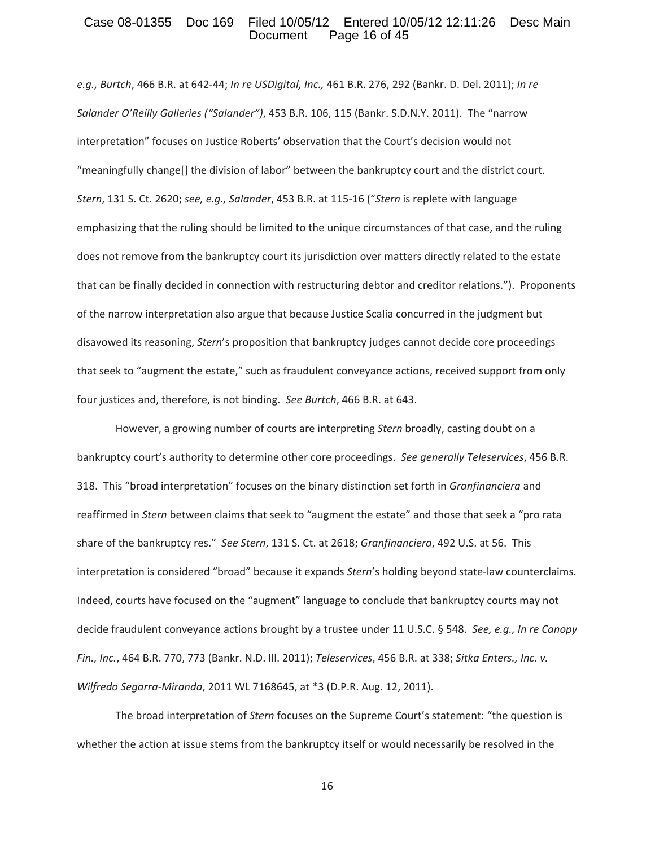### Case 08-01355 Doc 169 Filed 10/05/12 Entered 10/05/12 12:11:26 Desc Main<br>Document Page 16 of 45 Page 16 of 45

*e.g., Burtch*, 466 B.R. at 642Ͳ44; *In re USDigital, Inc.,* 461 B.R. 276, 292 (Bankr. D. Del. 2011); *In re Salander O'Reilly Galleries ("Salander")*, 453 B.R. 106, 115 (Bankr. S.D.N.Y. 2011).The "narrow interpretation" focuses on Justice Roberts' observation that the Court's decision would not "meaningfully change[] the division of labor" between the bankruptcy court and the district court. *Stern*, 131 S. Ct. 2620; *see, e.g., Salander*, 453 B.R. at 115-16 ("*Stern* is replete with language emphasizing that the ruling should be limited to the unique circumstances of that case, and the ruling does not remove from the bankruptcy court its jurisdiction over matters directly related to the estate that can be finally decided in connection with restructuring debtor and creditor relations."). Proponents of the narrow interpretation also argue that because Justice Scalia concurred in the judgment but disavowed its reasoning, *Stern*'s proposition that bankruptcy judges cannot decide core proceedings that seek to "augment the estate," such as fraudulent conveyance actions, received support from only four justices and, therefore, is not binding.*See Burtch*, 466 B.R. at 643.

However, a growing number of courts are interpreting *Stern* broadly, casting doubt on a bankruptcy court's authority to determine other core proceedings.*See generally Teleservices*, 456 B.R. 318.This "broad interpretation" focuses on the binary distinction set forth in *Granfinanciera* and reaffirmed in *Stern* between claims that seek to "augment the estate" and those that seek a "pro rata share of the bankruptcy res."*See Stern*, 131 S. Ct. at 2618; *Granfinanciera*, 492 U.S. at 56.This interpretation is considered "broad" because it expands *Stern's* holding beyond state-law counterclaims. Indeed, courts have focused on the "augment" language to conclude that bankruptcy courts may not decide fraudulent conveyance actions brought by a trustee under 11 U.S.C. § 548.*See, e.g., In re Canopy Fin., Inc.*, 464 B.R. 770, 773 (Bankr. N.D. Ill. 2011); *Teleservices*, 456 B.R. at 338; *Sitka Enters., Inc. v. Wilfredo Segarra-Miranda,* 2011 WL 7168645, at \*3 (D.P.R. Aug. 12, 2011).

The broad interpretation of *Stern* focuses on the Supreme Court's statement: "the question is whether the action at issue stems from the bankruptcy itself or would necessarily be resolved in the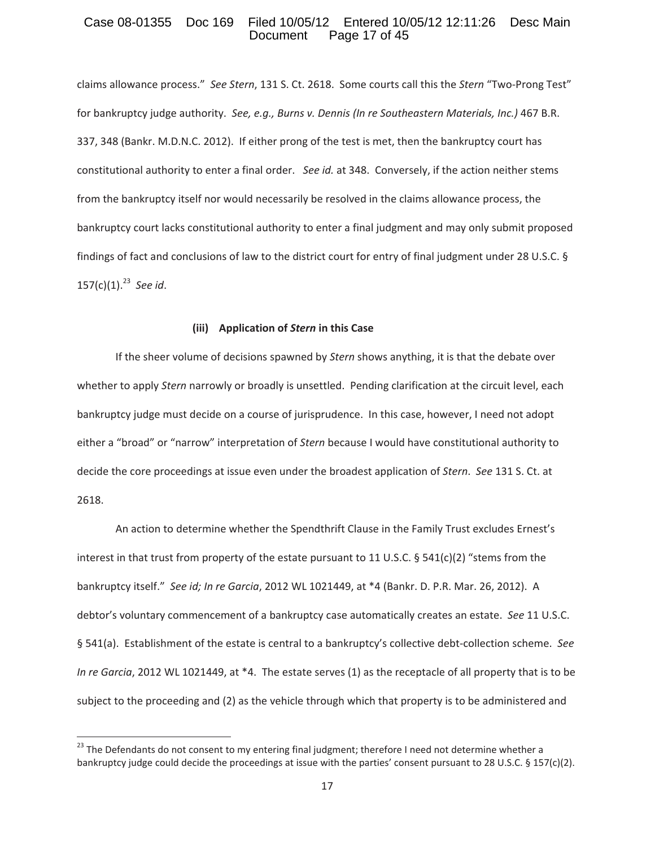### Case 08-01355 Doc 169 Filed 10/05/12 Entered 10/05/12 12:11:26 Desc Main<br>Document Page 17 of 45 Page 17 of 45

claims allowance process." See Stern, 131 S. Ct. 2618. Some courts call this the Stern "Two-Prong Test" for bankruptcy judge authority.*See, e.g., Burns v. Dennis (In re Southeastern Materials, Inc.)* 467 B.R. 337, 348 (Bankr. M.D.N.C. 2012). If either prong of the test is met, then the bankruptcy court has constitutional authority to enter a final order. See *id.* at 348. Conversely, if the action neither stems from the bankruptcy itself nor would necessarily be resolved in the claims allowance process, the bankruptcy court lacks constitutional authority to enter a final judgment and may only submit proposed findings of fact and conclusions of law to the district court for entry of final judgment under 28 U.S.C. § 157(c)(1).<sup>23</sup>*See id*.

#### **(iii)Application of** *Stern* **in this Case**

If the sheer volume of decisions spawned by *Stern* shows anything, it is that the debate over whether to apply *Stern* narrowly or broadly is unsettled. Pending clarification at the circuit level, each bankruptcy judge must decide on a course of jurisprudence. In this case, however, I need not adopt either a "broad" or "narrow" interpretation of *Stern* because I would have constitutional authority to decide the core proceedings at issue even under the broadest application of *Stern*.*See* 131 S. Ct. at 2618.

An action to determine whether the Spendthrift Clause in the Family Trust excludes Ernest's interest in that trust from property of the estate pursuant to 11 U.S.C. § 541(c)(2) "stems from the bankruptcy itself."*See id; In re Garcia*, 2012 WL 1021449, at \*4 (Bankr. D. P.R. Mar. 26, 2012).A debtor's voluntary commencement of a bankruptcy case automatically creates an estate.*See* 11 U.S.C. § 541(a). Establishment of the estate is central to a bankruptcy's collective debt-collection scheme. See *In re Garcia*, 2012 WL 1021449, at \*4. The estate serves (1) as the receptacle of all property that is to be subject to the proceeding and (2) as the vehicle through which that property is to be administered and

<sup>&</sup>lt;sup>23</sup> The Defendants do not consent to my entering final judgment; therefore I need not determine whether a bankruptcy judge could decide the proceedings at issue with the parties' consent pursuant to 28 U.S.C. § 157(c)(2).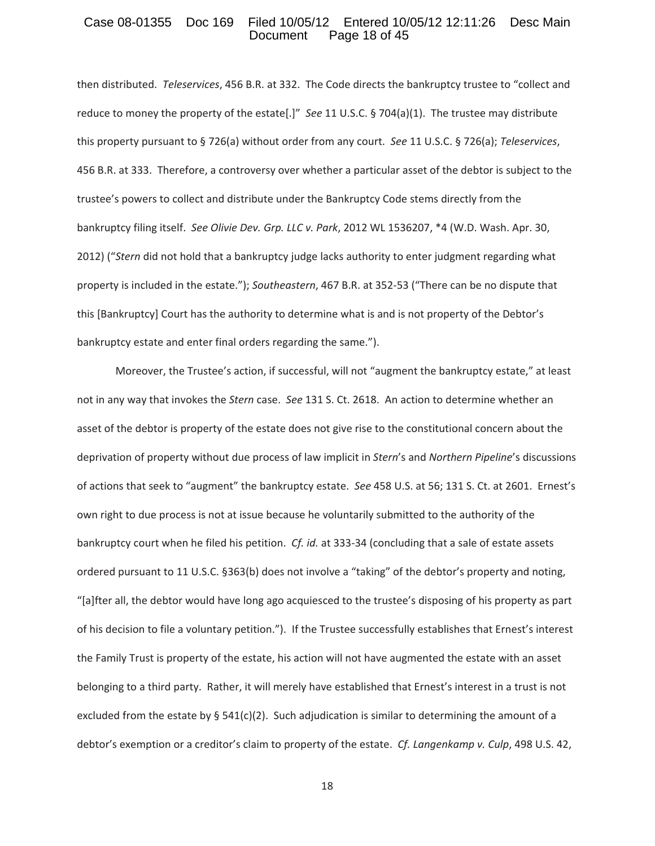### Case 08-01355 Doc 169 Filed 10/05/12 Entered 10/05/12 12:11:26 Desc Main<br>Document Page 18 of 45 Page 18 of 45

then distributed. Teleservices, 456 B.R. at 332. The Code directs the bankruptcy trustee to "collect and reduce to money the property of the estate[.]" See 11 U.S.C. § 704(a)(1). The trustee may distribute this property pursuant to § 726(a) without order from any court.*See* 11 U.S.C. § 726(a); *Teleservices*, 456 B.R. at 333. Therefore, a controversy over whether a particular asset of the debtor is subject to the trustee's powers to collect and distribute under the Bankruptcy Code stems directly from the bankruptcy filing itself.*See Olivie Dev. Grp. LLC v. Park*, 2012 WL 1536207, \*4 (W.D. Wash. Apr. 30, 2012) ("*Stern* did not hold that a bankruptcy judge lacks authority to enter judgment regarding what property is included in the estate."); *Southeastern*, 467 B.R. at 352-53 ("There can be no dispute that this [Bankruptcy] Court has the authority to determine what is and is not property of the Debtor's bankruptcy estate and enter final orders regarding the same.").

Moreover, the Trustee's action, if successful, will not "augment the bankruptcy estate," at least not in any way that invokes the *Stern* case. See 131 S. Ct. 2618. An action to determine whether an asset of the debtor is property of the estate does not give rise to the constitutional concern about the deprivation of property without due process of law implicit in *Stern*'s and *Northern Pipeline*'s discussions of actions that seek to "augment" the bankruptcy estate. See 458 U.S. at 56; 131 S. Ct. at 2601. Ernest's own right to due process is not at issue because he voluntarily submitted to the authority of the bankruptcy court when he filed his petition. *Cf. id.* at 333-34 (concluding that a sale of estate assets ordered pursuant to 11 U.S.C. §363(b) does not involve a "taking" of the debtor's property and noting, "[a]fter all, the debtor would have long ago acquiesced to the trustee's disposing of his property as part of his decision to file a voluntary petition."). If the Trustee successfully establishes that Ernest's interest the Family Trust is property of the estate, his action will not have augmented the estate with an asset belonging to a third party. Rather, it will merely have established that Ernest's interest in a trust is not excluded from the estate by § 541(c)(2). Such adjudication is similar to determining the amount of a debtor's exemption or a creditor's claim to property of the estate.*Cf. Langenkamp v. Culp*, 498 U.S. 42,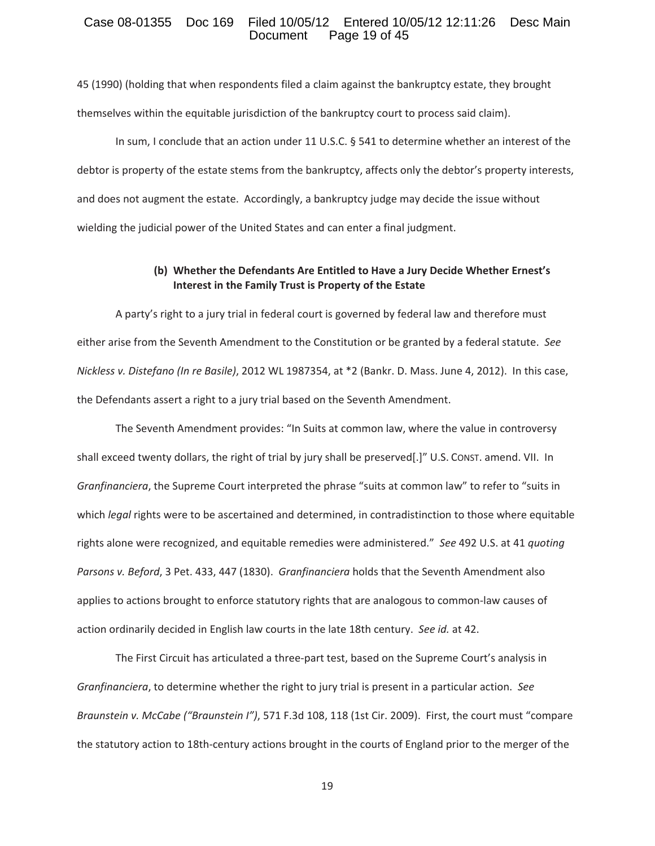### Case 08-01355 Doc 169 Filed 10/05/12 Entered 10/05/12 12:11:26 Desc Main<br>Document Page 19 of 45 Page 19 of 45

45 (1990) (holding that when respondents filed a claim against the bankruptcy estate, they brought themselves within the equitable jurisdiction of the bankruptcy court to process said claim).

In sum, I conclude that an action under 11 U.S.C. § 541 to determine whether an interest of the debtor is property of the estate stems from the bankruptcy, affects only the debtor's property interests, and does not augment the estate. Accordingly, a bankruptcy judge may decide the issue without wielding the judicial power of the United States and can enter a final judgment.

# **(b) Whether the Defendants Are Entitled to Have a Jury Decide Whether Ernest's Interest in the Family Trust is Property of the Estate**

A party's right to a jury trial in federal court is governed by federal law and therefore must either arise from the Seventh Amendment to the Constitution or be granted by a federal statute.*See Nickless v. Distefano (In re Basile)*, 2012 WL 1987354, at \*2 (Bankr. D. Mass. June 4, 2012).In this case, the Defendants assert a right to a jury trial based on the Seventh Amendment.

The Seventh Amendment provides: "In Suits at common law, where the value in controversy shall exceed twenty dollars, the right of trial by jury shall be preserved[.]" U.S. CONST. amend. VII. In *Granfinanciera*, the Supreme Court interpreted the phrase "suits at common law" to refer to "suits in which *legal* rights were to be ascertained and determined, in contradistinction to those where equitable rights alone were recognized, and equitable remedies were administered."*See* 492 U.S. at 41 *quoting Parsons v. Beford*, 3 Pet. 433, 447 (1830).*Granfinanciera* holds that the Seventh Amendment also applies to actions brought to enforce statutory rights that are analogous to common-law causes of action ordinarily decided in English law courts in the late 18th century.*See id.* at 42.

The First Circuit has articulated a three-part test, based on the Supreme Court's analysis in *Granfinanciera*, to determine whether the right to jury trial is present in a particular action.*See Braunstein v. McCabe ("Braunstein <i>I")*, 571 F.3d 108, 118 (1st Cir. 2009). First, the court must "compare the statutory action to 18th-century actions brought in the courts of England prior to the merger of the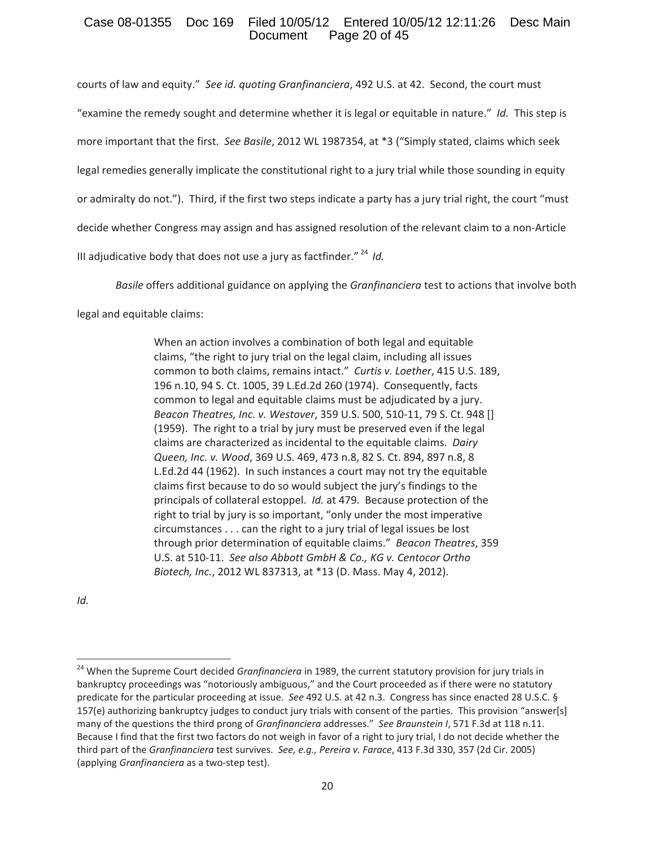# Case 08-01355 Doc 169 Filed 10/05/12 Entered 10/05/12 12:11:26 Desc Main Page 20 of 45

courts of law and equity." See *id. quoting Granfinanciera*, 492 U.S. at 42. Second, the court must

"examine the remedy sought and determine whether it is legal or equitable in nature."*Id.*This step is

more important that the first.*See Basile*, 2012 WL 1987354, at \*3 ("Simply stated, claims which seek

legal remedies generally implicate the constitutional right to a jury trial while those sounding in equity

or admiralty do not."). Third, if the first two steps indicate a party has a jury trial right, the court "must

decide whether Congress may assign and has assigned resolution of the relevant claim to a non-Article

III adjudicative body that does not use a jury as factfinder." <sup>24</sup> *Id.*

*Basile* offers additional guidance on applying the *Granfinanciera* test to actions that involve both

legal and equitable claims:

When an action involves a combination of both legal and equitable claims, "the right to jury trial on the legal claim, including all issues common to both claims, remains intact."*Curtis v. Loether*, 415 U.S. 189, 196 n.10, 94 S. Ct. 1005, 39 L.Ed.2d 260 (1974). Consequently, facts common to legal and equitable claims must be adjudicated by a jury. *Beacon Theatres, Inc. v. Westover, 359 U.S. 500, 510-11, 79 S. Ct. 948 []* (1959). The right to a trial by jury must be preserved even if the legal claims are characterized as incidental to the equitable claims.*Dairy Queen, Inc. v. Wood*, 369 U.S. 469, 473 n.8, 82 S. Ct. 894, 897 n.8, 8 L.Ed.2d 44 (1962). In such instances a court may not try the equitable claims first because to do so would subject the jury's findings to the principals of collateral estoppel. *Id.* at 479. Because protection of the right to trial by jury is so important, "only under the most imperative circumstances . . . can the right to a jury trial of legal issues be lost through prior determination of equitable claims."*Beacon Theatres*, 359 U.S. at 510Ͳ11.*See also Abbott GmbH & Co., KG v. Centocor Ortho Biotech, Inc.*, 2012 WL 837313, at \*13 (D. Mass. May 4, 2012).

*Id.*

<sup>24</sup> When the Supreme Court decided *Granfinanciera* in 1989, the current statutory provision for jury trials in bankruptcy proceedings was "notoriously ambiguous," and the Court proceeded as if there were no statutory predicate for the particular proceeding at issue.*See* 492 U.S. at 42 n.3.Congress has since enacted 28 U.S.C. § 157(e) authorizing bankruptcy judges to conduct jury trials with consent of the parties.This provision "answer[s] many of the questions the third prong of *Granfinanciera* addresses."*See Braunstein I*, 571 F.3d at 118 n.11. Because I find that the first two factors do not weigh in favor of a right to jury trial, I do not decide whether the third part of the *Granfinanciera* test survives.*See, e.g., Pereira v. Farace*, 413 F.3d 330, 357 (2d Cir. 2005) (applying *Granfinanciera* as a two-step test).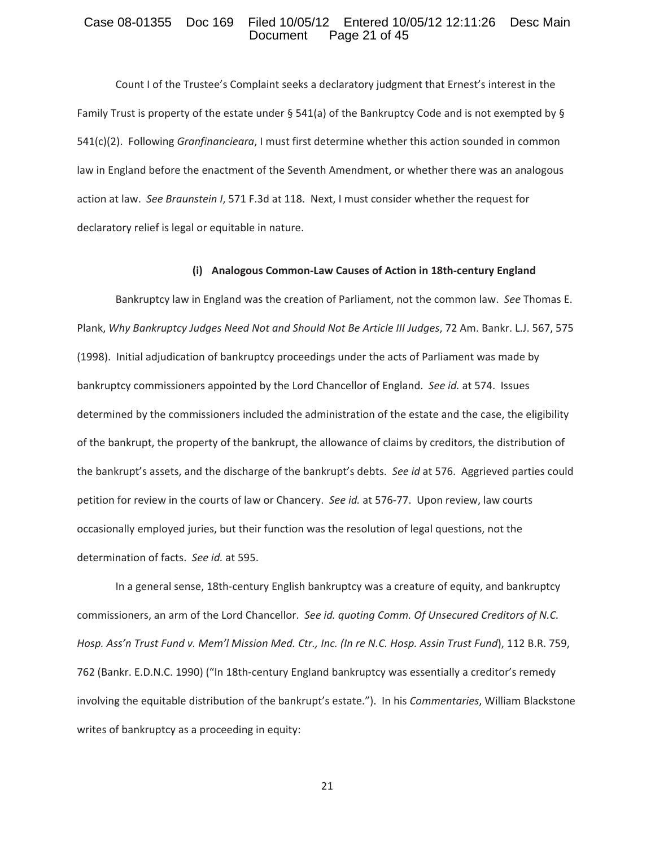### Case 08-01355 Doc 169 Filed 10/05/12 Entered 10/05/12 12:11:26 Desc Main<br>Document Page 21 of 45 Page 21 of 45

Count I of the Trustee's Complaint seeks a declaratory judgment that Ernest's interest in the Family Trust is property of the estate under § 541(a) of the Bankruptcy Code and is not exempted by § 541(c)(2).Following *Granfinancieara*, I must first determine whether this action sounded in common law in England before the enactment of the Seventh Amendment, or whether there was an analogous action at law. See Braunstein *I*, 571 F.3d at 118. Next, I must consider whether the request for declaratory relief is legal or equitable in nature.

#### $(i)$  Analogous Common-Law Causes of Action in 18th-century England

Bankruptcy law in England was the creation of Parliament, not the common law.*See* Thomas E. Plank, *Why Bankruptcy Judges Need Not and Should Not Be Article III Judges*, 72 Am. Bankr. L.J. 567, 575 (1998). Initial adjudication of bankruptcy proceedings under the acts of Parliament was made by bankruptcy commissioners appointed by the Lord Chancellor of England.*See id.* at 574.Issues determined by the commissioners included the administration of the estate and the case, the eligibility of the bankrupt, the property of the bankrupt, the allowance of claims by creditors, the distribution of the bankrupt's assets, and the discharge of the bankrupt's debts. See *id* at 576. Aggrieved parties could petition for review in the courts of law or Chancery. See *id.* at 576-77. Upon review, law courts occasionally employed juries, but their function was the resolution of legal questions, not the determination of facts.*See id.* at 595.

In a general sense, 18th-century English bankruptcy was a creature of equity, and bankruptcy commissioners, an arm of the Lord Chancellor.*See id. quoting Comm. Of Unsecured Creditors of N.C.* Hosp. Ass'n Trust Fund v. Mem'l Mission Med. Ctr., Inc. (In re N.C. Hosp. Assin Trust Fund), 112 B.R. 759, 762 (Bankr. E.D.N.C. 1990) ("In 18th-century England bankruptcy was essentially a creditor's remedy involving the equitable distribution of the bankrupt's estate."). In his *Commentaries*, William Blackstone writes of bankruptcy as a proceeding in equity: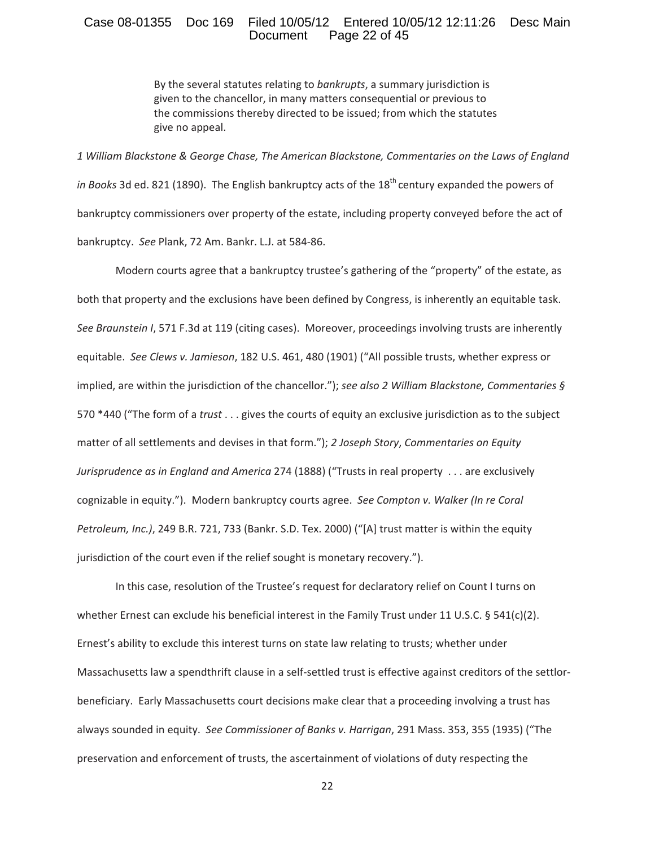### Case 08-01355 Doc 169 Filed 10/05/12 Entered 10/05/12 12:11:26 Desc Main<br>Document Page 22 of 45 Page 22 of 45

By the several statutes relating to *bankrupts*, a summary jurisdiction is given to the chancellor, in many matters consequential or previous to the commissions thereby directed to be issued; from which the statutes give no appeal.

*1 William Blackstone & George Chase, The American Blackstone, Commentaries on the Laws of England in Books* 3d ed. 821 (1890). The English bankruptcy acts of the 18<sup>th</sup> century expanded the powers of bankruptcy commissioners over property of the estate, including property conveyed before the act of bankruptcy. See Plank, 72 Am. Bankr. L.J. at 584-86.

Modern courts agree that a bankruptcy trustee's gathering of the "property" of the estate, as both that property and the exclusions have been defined by Congress, is inherently an equitable task. See Braunstein *I*, 571 F.3d at 119 (citing cases). Moreover, proceedings involving trusts are inherently equitable.*See Clews v. Jamieson*, 182 U.S. 461, 480 (1901) ("All possible trusts, whether express or implied, are within the jurisdiction of the chancellor."); *see also 2 William Blackstone, Commentaries §* 570 \*440 ("The form of a *trust* . . . gives the courts of equity an exclusive jurisdiction as to the subject matter of all settlements and devises in that form."); *2 Joseph Story*, *Commentaries on Equity Jurisprudence as in England and America* 274 (1888) ("Trusts in real property. . . are exclusively cognizable in equity.").Modern bankruptcy courts agree.*See Compton v. Walker (In re Coral Petroleum, Inc.)*, 249 B.R. 721, 733 (Bankr. S.D. Tex. 2000) ("[A] trust matter is within the equity jurisdiction of the court even if the relief sought is monetary recovery.").

In this case, resolution of the Trustee's request for declaratory relief on Count I turns on whether Ernest can exclude his beneficial interest in the Family Trust under 11 U.S.C. § 541(c)(2). Ernest's ability to exclude this interest turns on state law relating to trusts; whether under Massachusetts law a spendthrift clause in a self-settled trust is effective against creditors of the settlorbeneficiary. Early Massachusetts court decisions make clear that a proceeding involving a trust has always sounded in equity.*See Commissioner of Banks v. Harrigan*, 291 Mass. 353, 355 (1935) ("The preservation and enforcement of trusts, the ascertainment of violations of duty respecting the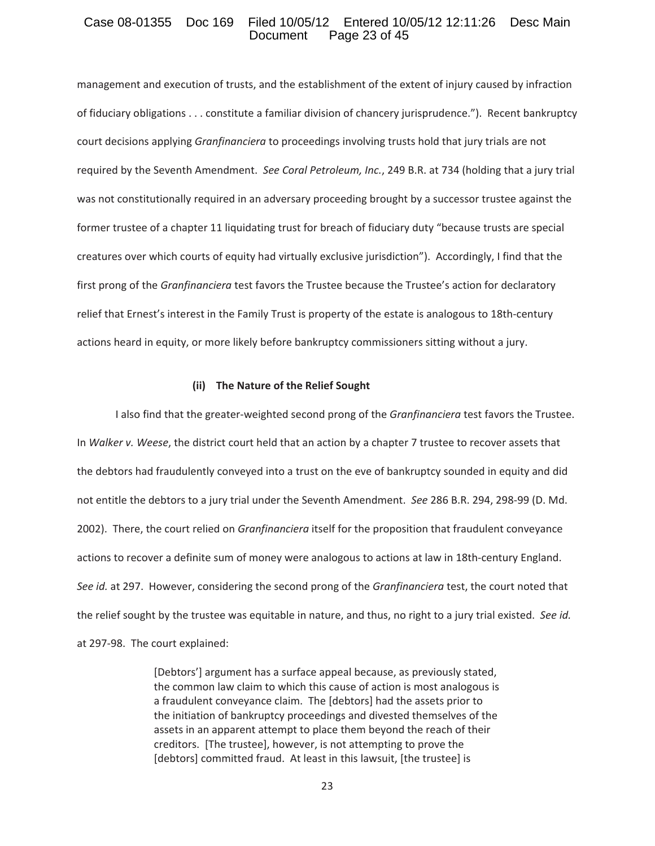### Case 08-01355 Doc 169 Filed 10/05/12 Entered 10/05/12 12:11:26 Desc Main<br>Document Page 23 of 45 Page 23 of 45

management and execution of trusts, and the establishment of the extent of injury caused by infraction of fiduciary obligations . . . constitute a familiar division of chancery jurisprudence."). Recent bankruptcy court decisions applying *Granfinanciera* to proceedings involving trusts hold that jury trials are not required by the Seventh Amendment.*See Coral Petroleum, Inc.*, 249 B.R. at 734 (holding that a jury trial was not constitutionally required in an adversary proceeding brought by a successor trustee against the former trustee of a chapter 11 liquidating trust for breach of fiduciary duty "because trusts are special creatures over which courts of equity had virtually exclusive jurisdiction"). Accordingly, I find that the first prong of the *Granfinanciera* test favors the Trustee because the Trustee's action for declaratory relief that Ernest's interest in the Family Trust is property of the estate is analogous to 18th-century actions heard in equity, or more likely before bankruptcy commissioners sitting without a jury.

#### **(ii)The Nature of the Relief Sought**

I also find that the greater-weighted second prong of the *Granfinanciera* test favors the Trustee. In *Walker v. Weese*, the district court held that an action by a chapter 7 trustee to recover assets that the debtors had fraudulently conveyed into a trust on the eve of bankruptcy sounded in equity and did not entitle the debtors to a jury trial under the Seventh Amendment. See 286 B.R. 294, 298-99 (D. Md. 2002).There, the court relied on *Granfinanciera* itself for the proposition that fraudulent conveyance actions to recover a definite sum of money were analogous to actions at law in 18th-century England. See id. at 297. However, considering the second prong of the *Granfinanciera* test, the court noted that the relief sought by the trustee was equitable in nature, and thus, no right to a jury trial existed.*See id.* at 297-98. The court explained:

> [Debtors'] argument has a surface appeal because, as previously stated, the common law claim to which this cause of action is most analogous is a fraudulent conveyance claim. The [debtors] had the assets prior to the initiation of bankruptcy proceedings and divested themselves of the assets in an apparent attempt to place them beyond the reach of their creditors.[The trustee], however, is not attempting to prove the [debtors] committed fraud. At least in this lawsuit, [the trustee] is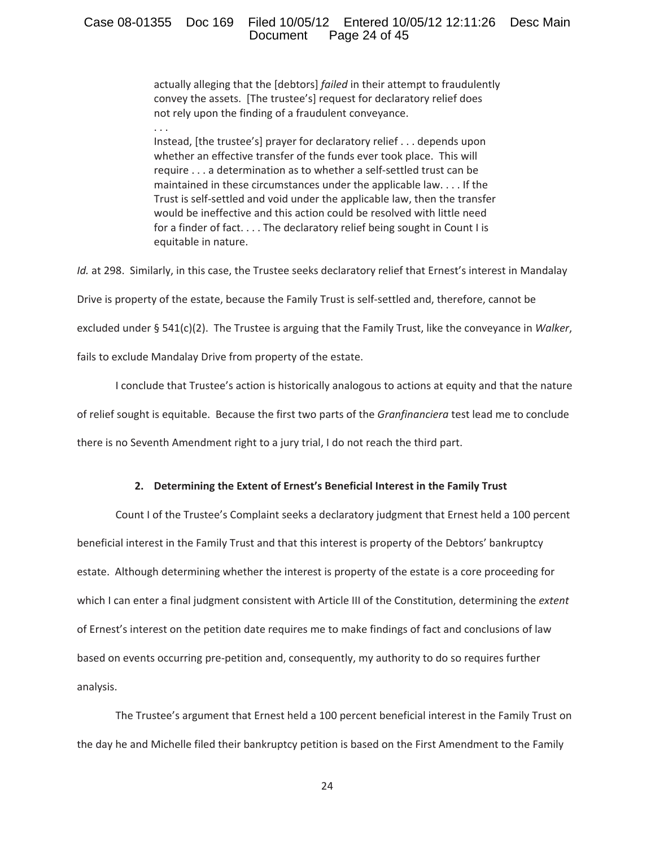# Case 08-01355 Doc 169 Filed 10/05/12 Entered 10/05/12 12:11:26 Desc Main<br>Document Page 24 of 45 Page 24 of 45

actually alleging that the [debtors] *failed* in their attempt to fraudulently convey the assets. [The trustee's] request for declaratory relief does not rely upon the finding of a fraudulent conveyance.

. . .

Instead, [the trustee's] prayer for declaratory relief . . . depends upon whether an effective transfer of the funds ever took place. This will require . . . a determination as to whether a self-settled trust can be maintained in these circumstances under the applicable law. . . . If the Trust is self-settled and void under the applicable law, then the transfer would be ineffective and this action could be resolved with little need for a finder of fact. . . . The declaratory relief being sought in Count I is equitable in nature.

*Id.* at 298. Similarly, in this case, the Trustee seeks declaratory relief that Ernest's interest in Mandalay Drive is property of the estate, because the Family Trust is self-settled and, therefore, cannot be excluded under § 541(c)(2). The Trustee is arguing that the Family Trust, like the conveyance in *Walker*, fails to exclude Mandalay Drive from property of the estate.

I conclude that Trustee's action is historically analogous to actions at equity and that the nature of relief sought is equitable. Because the first two parts of the *Granfinanciera* test lead me to conclude there is no Seventh Amendment right to a jury trial, I do not reach the third part.

### **2. Determining the Extent of Ernest's Beneficial Interest in the Family Trust**

Count I of the Trustee's Complaint seeks a declaratory judgment that Ernest held a 100 percent beneficial interest in the Family Trust and that this interest is property of the Debtors' bankruptcy estate. Although determining whether the interest is property of the estate is a core proceeding for which I can enter a final judgment consistent with Article III of the Constitution, determining the *extent* of Ernest's interest on the petition date requires me to make findings of fact and conclusions of law based on events occurring pre-petition and, consequently, my authority to do so requires further analysis.

The Trustee's argument that Ernest held a 100 percent beneficial interest in the Family Trust on the day he and Michelle filed their bankruptcy petition is based on the First Amendment to the Family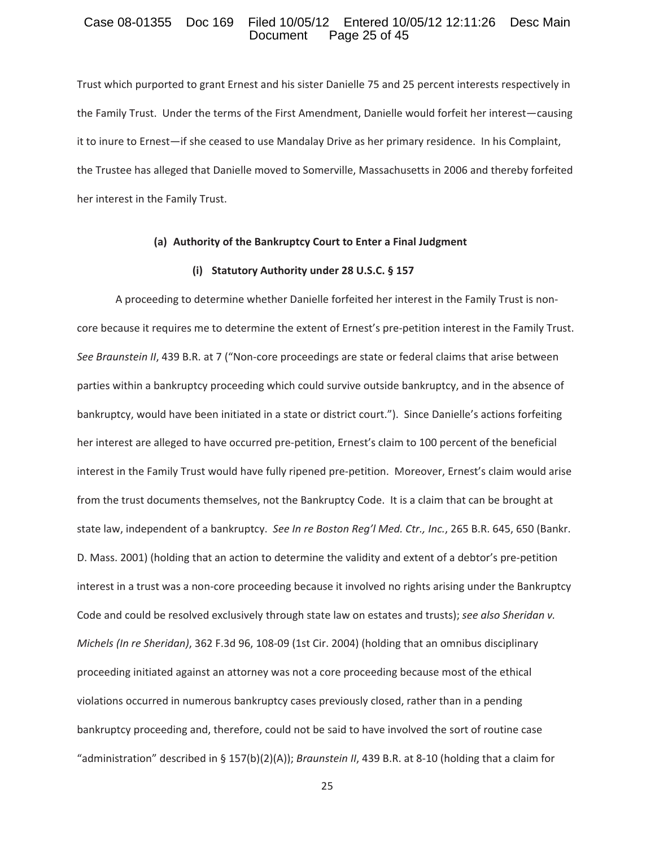#### Case 08-01355 Doc 169 Filed 10/05/12 Entered 10/05/12 12:11:26 Desc Main<br>Document Page 25 of 45 Page 25 of 45

Trust which purported to grant Ernest and his sister Danielle 75 and 25 percent interests respectively in the Family Trust. Under the terms of the First Amendment, Danielle would forfeit her interest—causing it to inure to Ernest—if she ceased to use Mandalay Drive as her primary residence. In his Complaint, the Trustee has alleged that Danielle moved to Somerville, Massachusetts in 2006 and thereby forfeited her interest in the Family Trust.

#### **(a) Authority of the Bankruptcy Court to Enter a Final Judgment**

#### **(i) Statutory Authority under 28 U.S.C. § 157**

A proceeding to determine whether Danielle forfeited her interest in the Family Trust is noncore because it requires me to determine the extent of Ernest's pre-petition interest in the Family Trust. *See Braunstein II*, 439 B.R. at 7 ("Non-core proceedings are state or federal claims that arise between parties within a bankruptcy proceeding which could survive outside bankruptcy, and in the absence of bankruptcy, would have been initiated in a state or district court."). Since Danielle's actions forfeiting her interest are alleged to have occurred pre-petition, Ernest's claim to 100 percent of the beneficial interest in the Family Trust would have fully ripened pre-petition. Moreover, Ernest's claim would arise from the trust documents themselves, not the Bankruptcy Code. It is a claim that can be brought at state law, independent of a bankruptcy.*See In re Boston Reg'l Med. Ctr., Inc.*, 265 B.R. 645, 650 (Bankr. D. Mass. 2001) (holding that an action to determine the validity and extent of a debtor's pre-petition interest in a trust was a non-core proceeding because it involved no rights arising under the Bankruptcy Code and could be resolved exclusively through state law on estates and trusts); *see also Sheridan v. Michels* (In re *Sheridan)*, 362 F.3d 96, 108-09 (1st Cir. 2004) (holding that an omnibus disciplinary proceeding initiated against an attorney was not a core proceeding because most of the ethical violations occurred in numerous bankruptcy cases previously closed, rather than in a pending bankruptcy proceeding and, therefore, could not be said to have involved the sort of routine case "administration" described in § 157(b)(2)(A)); *Braunstein II*, 439 B.R. at 8-10 (holding that a claim for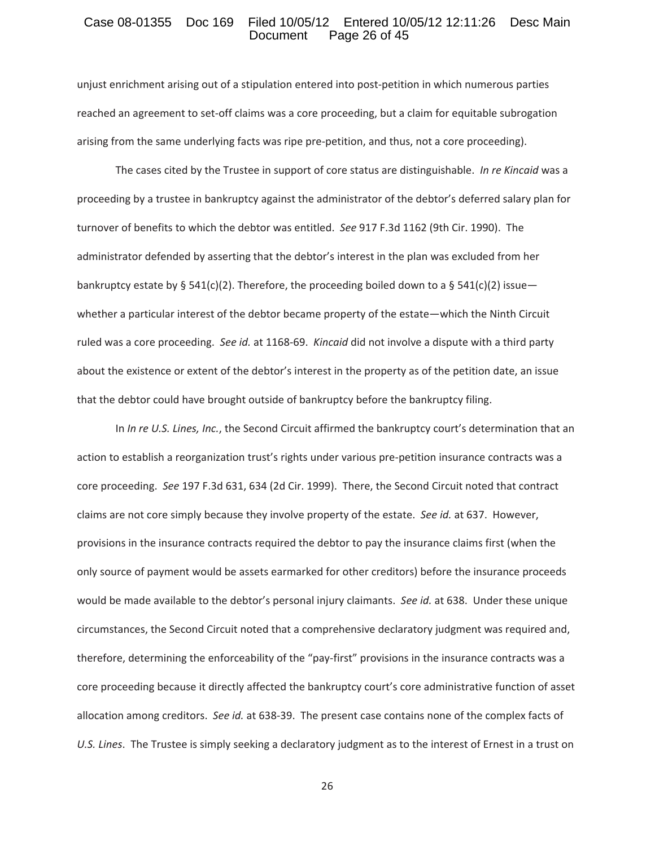#### Case 08-01355 Doc 169 Filed 10/05/12 Entered 10/05/12 12:11:26 Desc Main<br>Document Page 26 of 45 Page 26 of 45

unjust enrichment arising out of a stipulation entered into post-petition in which numerous parties reached an agreement to set-off claims was a core proceeding, but a claim for equitable subrogation arising from the same underlying facts was ripe pre-petition, and thus, not a core proceeding).

The cases cited by the Trustee in support of core status are distinguishable.*In re Kincaid* was a proceeding by a trustee in bankruptcy against the administrator of the debtor's deferred salary plan for turnover of benefits to which the debtor was entitled. See 917 F.3d 1162 (9th Cir. 1990). The administrator defended by asserting that the debtor's interest in the plan was excluded from her bankruptcy estate by § 541(c)(2). Therefore, the proceeding boiled down to a § 541(c)(2) issue whether a particular interest of the debtor became property of the estate—which the Ninth Circuit ruled was a core proceeding. See id. at 1168-69. Kincaid did not involve a dispute with a third party about the existence or extent of the debtor's interest in the property as of the petition date, an issue that the debtor could have brought outside of bankruptcy before the bankruptcy filing.

In *In re U.S. Lines, Inc.*, the Second Circuit affirmed the bankruptcy court's determination that an action to establish a reorganization trust's rights under various pre-petition insurance contracts was a core proceeding.*See* 197 F.3d 631, 634 (2d Cir. 1999).There, the Second Circuit noted that contract claims are not core simply because they involve property of the estate. See id. at 637. However, provisions in the insurance contracts required the debtor to pay the insurance claims first (when the only source of payment would be assets earmarked for other creditors) before the insurance proceeds would be made available to the debtor's personal injury claimants. See *id.* at 638. Under these unique circumstances, the Second Circuit noted that a comprehensive declaratory judgment was required and, therefore, determining the enforceability of the "pay-first" provisions in the insurance contracts was a core proceeding because it directly affected the bankruptcy court's core administrative function of asset allocation among creditors. See id. at 638-39. The present case contains none of the complex facts of *U.S. Lines*.The Trustee is simply seeking a declaratory judgment as to the interest of Ernest in a trust on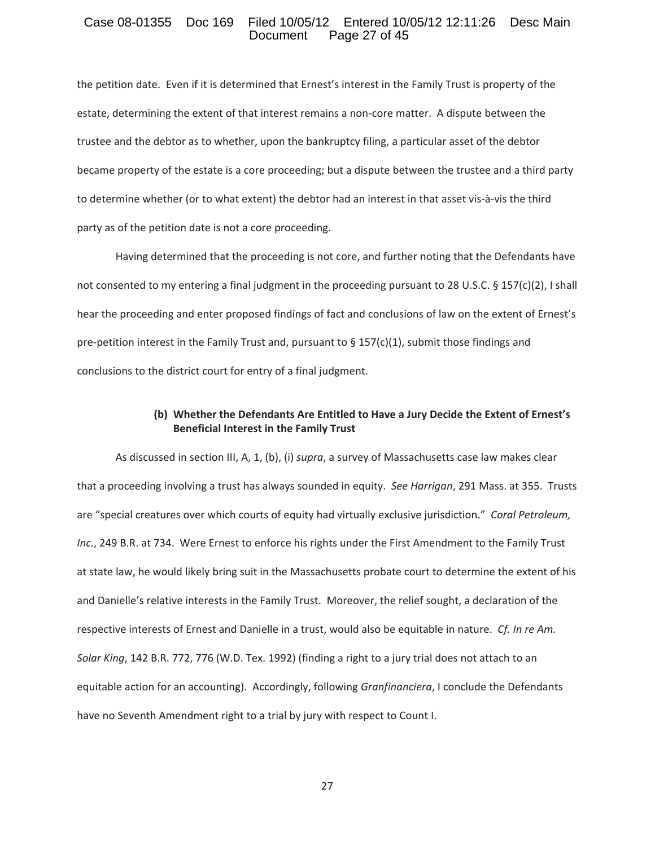### Case 08-01355 Doc 169 Filed 10/05/12 Entered 10/05/12 12:11:26 Desc Main<br>Document Page 27 of 45 Page 27 of 45

the petition date. Even if it is determined that Ernest's interest in the Family Trust is property of the estate, determining the extent of that interest remains a non-core matter. A dispute between the trustee and the debtor as to whether, upon the bankruptcy filing, a particular asset of the debtor became property of the estate is a core proceeding; but a dispute between the trustee and a third party to determine whether (or to what extent) the debtor had an interest in that asset vis-à-vis the third party as of the petition date is not a core proceeding.

Having determined that the proceeding is not core, and further noting that the Defendants have not consented to my entering a final judgment in the proceeding pursuant to 28 U.S.C. § 157(c)(2), I shall hear the proceeding and enter proposed findings of fact and conclusions of law on the extent of Ernest's pre-petition interest in the Family Trust and, pursuant to § 157(c)(1), submit those findings and conclusions to the district court for entry of a final judgment.

### **(b) Whether the Defendants Are Entitled to Have a Jury Decide the Extent of Ernest's Beneficial Interest in the Family Trust**

As discussed in section III, A, 1, (b), (i) *supra*, a survey of Massachusetts case law makes clear that a proceeding involving a trust has always sounded in equity.*See Harrigan*, 291 Mass. at 355.Trusts are "special creatures over which courts of equity had virtually exclusive jurisdiction."*Coral Petroleum,* Inc., 249 B.R. at 734. Were Ernest to enforce his rights under the First Amendment to the Family Trust at state law, he would likely bring suit in the Massachusetts probate court to determine the extent of his and Danielle's relative interests in the Family Trust. Moreover, the relief sought, a declaration of the respective interests of Ernest and Danielle in a trust, would also be equitable in nature.*Cf. In re Am. Solar King*, 142 B.R. 772, 776 (W.D. Tex. 1992) (finding a right to a jury trial does not attach to an equitable action for an accounting). Accordingly, following *Granfinanciera*, I conclude the Defendants have no Seventh Amendment right to a trial by jury with respect to Count I.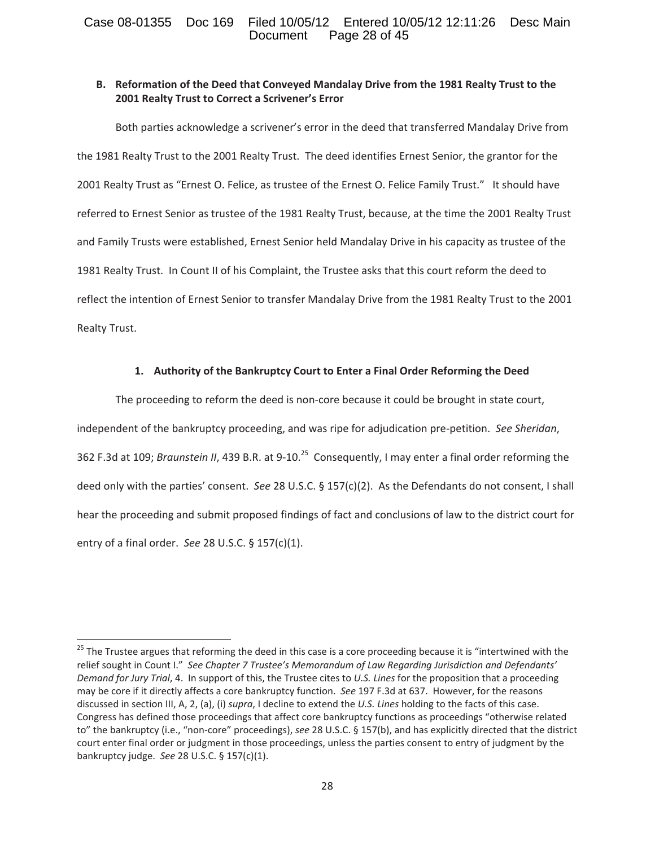# Case 08-01355 Doc 169 Filed 10/05/12 Entered 10/05/12 12:11:26 Desc Main<br>Document Page 28 of 45 Page 28 of 45

# **B. Reformation of the Deed that Conveyed Mandalay Drive from the 1981 Realty Trust to the 2001 Realty Trust to Correct a Scrivener's Error**

Both parties acknowledge a scrivener's error in the deed that transferred Mandalay Drive from the 1981 Realty Trust to the 2001 Realty Trust. The deed identifies Ernest Senior, the grantor for the 2001 Realty Trust as "Ernest O. Felice, as trustee of the Ernest O. Felice Family Trust." It should have referred to Ernest Senior as trustee of the 1981 Realty Trust, because, at the time the 2001 Realty Trust and Family Trusts were established, Ernest Senior held Mandalay Drive in his capacity as trustee of the 1981 Realty Trust. In Count II of his Complaint, the Trustee asks that this court reform the deed to reflect the intention of Ernest Senior to transfer Mandalay Drive from the 1981 Realty Trust to the 2001 Realty Trust.

# **1. Authority of the Bankruptcy Court to Enter a Final Order Reforming the Deed**

The proceeding to reform the deed is non-core because it could be brought in state court, independent of the bankruptcy proceeding, and was ripe for adjudication pre-petition. See Sheridan, 362 F.3d at 109; *Braunstein II*, 439 B.R. at 9-10.<sup>25</sup> Consequently, I may enter a final order reforming the deed only with the parties' consent. See 28 U.S.C. § 157(c)(2). As the Defendants do not consent, I shall hear the proceeding and submit proposed findings of fact and conclusions of law to the district court for entry of a final order.*See* 28 U.S.C. § 157(c)(1).

<sup>&</sup>lt;sup>25</sup> The Trustee argues that reforming the deed in this case is a core proceeding because it is "intertwined with the relief sought in Count I."*See Chapter 7 Trustee's Memorandum of Law Regarding Jurisdiction and Defendants' Demand for Jury Trial*, 4.In support of this, the Trustee cites to *U.S. Lines* for the proposition that a proceeding may be core if it directly affects a core bankruptcy function. See 197 F.3d at 637. However, for the reasons discussed in section III, A, 2, (a), (i) *supra*, I decline to extend the *U.S. Lines* holding to the facts of this case. Congress has defined those proceedings that affect core bankruptcy functions as proceedings "otherwise related to" the bankruptcy (i.e., "non-core" proceedings), see 28 U.S.C. § 157(b), and has explicitly directed that the district court enter final order or judgment in those proceedings, unless the parties consent to entry of judgment by the bankruptcy judge.*See* 28 U.S.C. § 157(c)(1).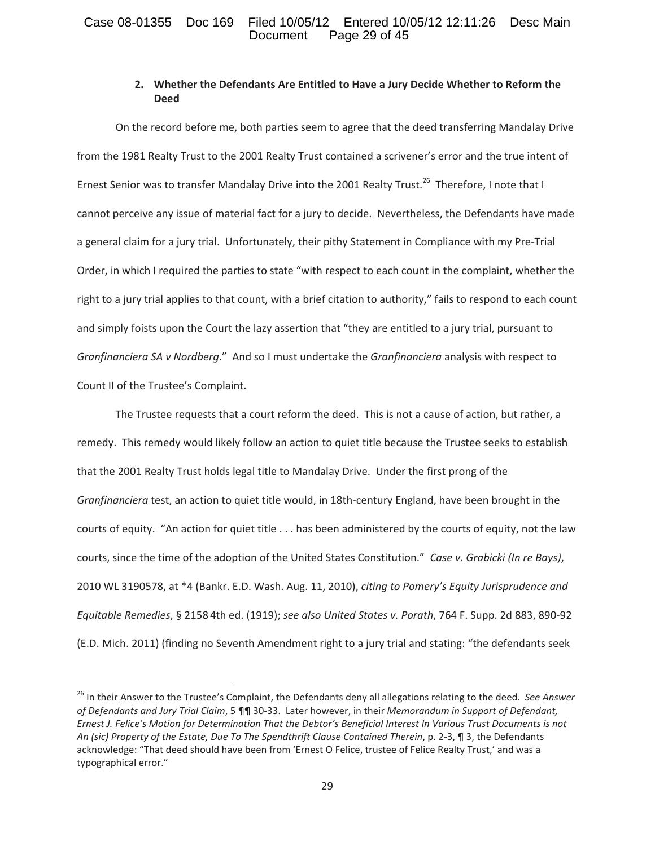# Case 08-01355 Doc 169 Filed 10/05/12 Entered 10/05/12 12:11:26 Desc Main<br>Document Page 29 of 45 Page 29 of 45

# **2. Whether the Defendants Are Entitled to Have a Jury Decide Whether to Reform the Deed**

On the record before me, both parties seem to agree that the deed transferring Mandalay Drive from the 1981 Realty Trust to the 2001 Realty Trust contained a scrivener's error and the true intent of Ernest Senior was to transfer Mandalay Drive into the 2001 Realty Trust.<sup>26</sup> Therefore, I note that I cannot perceive any issue of material fact for a jury to decide. Nevertheless, the Defendants have made a general claim for a jury trial. Unfortunately, their pithy Statement in Compliance with my Pre-Trial Order, in which I required the parties to state "with respect to each count in the complaint, whether the right to a jury trial applies to that count, with a brief citation to authority," fails to respond to each count and simply foists upon the Court the lazy assertion that "they are entitled to a jury trial, pursuant to *Granfinanciera SA v Nordberg*."And so I must undertake the *Granfinanciera* analysis with respect to Count II of the Trustee's Complaint.

The Trustee requests that a court reform the deed. This is not a cause of action, but rather, a remedy. This remedy would likely follow an action to quiet title because the Trustee seeks to establish that the 2001 Realty Trust holds legal title to Mandalay Drive. Under the first prong of the *Granfinanciera* test, an action to quiet title would, in 18th-century England, have been brought in the courts of equity. "An action for quiet title . . . has been administered by the courts of equity, not the law courts, since the time of the adoption of the United States Constitution."*Case v. Grabicki (In re Bays)*, 2010 WL 3190578, at \*4 (Bankr. E.D. Wash. Aug. 11, 2010), *citing to Pomery's Equity Jurisprudence and Equitable Remedies*, § 2158 4th ed. (1919); *see also United States v. Porath*, 764 F. Supp. 2d 883, 890Ͳ92 (E.D. Mich. 2011) (finding no Seventh Amendment right to a jury trial and stating: "the defendants seek

<sup>26</sup> In their Answer to the Trustee's Complaint, the Defendants deny all allegations relating to the deed.*See Answer of Defendants and Jury Trial Claim*, 5 ¶¶ 30Ͳ33.Later however, in their *Memorandum in Support of Defendant,* Ernest J. Felice's Motion for Determination That the Debtor's Beneficial Interest In Various Trust Documents is not *An (sic) Property of the Estate, Due To The Spendthrift Clause Contained Therein*, p. 2Ͳ3, ¶ 3, the Defendants acknowledge: "That deed should have been from 'Ernest O Felice, trustee of Felice Realty Trust,' and was a typographical error."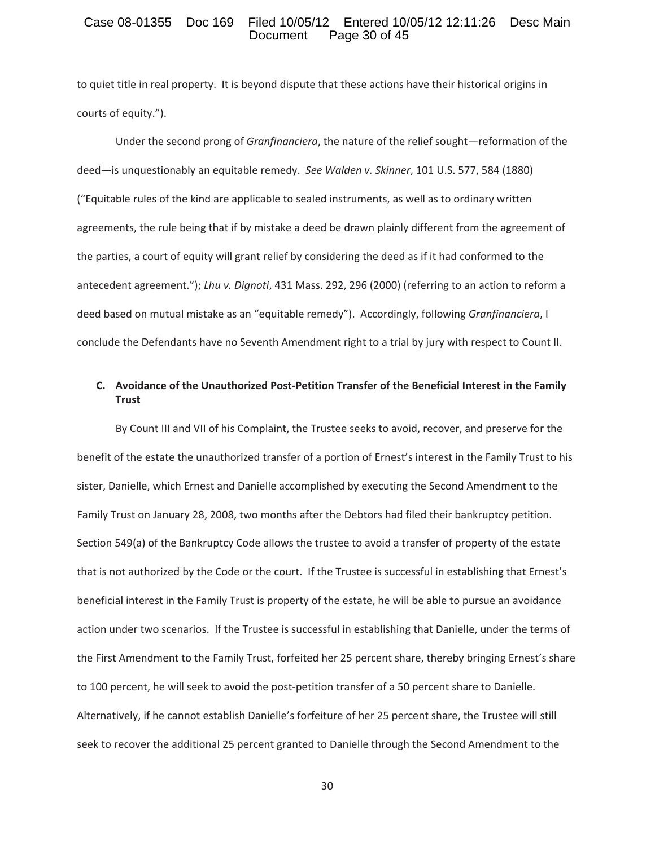### Case 08-01355 Doc 169 Filed 10/05/12 Entered 10/05/12 12:11:26 Desc Main<br>Document Page 30 of 45 Page 30 of 45

to quiet title in real property. It is beyond dispute that these actions have their historical origins in courts of equity.").

Under the second prong of *Granfinanciera*, the nature of the relief sought—reformation of the deed—is unquestionably an equitable remedy.*See Walden v. Skinner*, 101 U.S. 577, 584 (1880) ("Equitable rules of the kind are applicable to sealed instruments, as well as to ordinary written agreements, the rule being that if by mistake a deed be drawn plainly different from the agreement of the parties, a court of equity will grant relief by considering the deed as if it had conformed to the antecedent agreement."); *Lhu v. Dignoti*, 431 Mass. 292, 296 (2000) (referring to an action to reform a deed based on mutual mistake as an "equitable remedy"). Accordingly, following *Granfinanciera*, I conclude the Defendants have no Seventh Amendment right to a trial by jury with respect to Count II.

# **C. Avoidance of the Unauthorized PostͲPetition Transfer of the Beneficial Interest in the Family Trust**

By Count III and VII of his Complaint, the Trustee seeks to avoid, recover, and preserve for the benefit of the estate the unauthorized transfer of a portion of Ernest's interest in the Family Trust to his sister, Danielle, which Ernest and Danielle accomplished by executing the Second Amendment to the Family Trust on January 28, 2008, two months after the Debtors had filed their bankruptcy petition. Section 549(a) of the Bankruptcy Code allows the trustee to avoid a transfer of property of the estate that is not authorized by the Code or the court. If the Trustee is successful in establishing that Ernest's beneficial interest in the Family Trust is property of the estate, he will be able to pursue an avoidance action under two scenarios. If the Trustee is successful in establishing that Danielle, under the terms of the First Amendment to the Family Trust, forfeited her 25 percent share, thereby bringing Ernest's share to 100 percent, he will seek to avoid the post-petition transfer of a 50 percent share to Danielle. Alternatively, if he cannot establish Danielle's forfeiture of her 25 percent share, the Trustee will still seek to recover the additional 25 percent granted to Danielle through the Second Amendment to the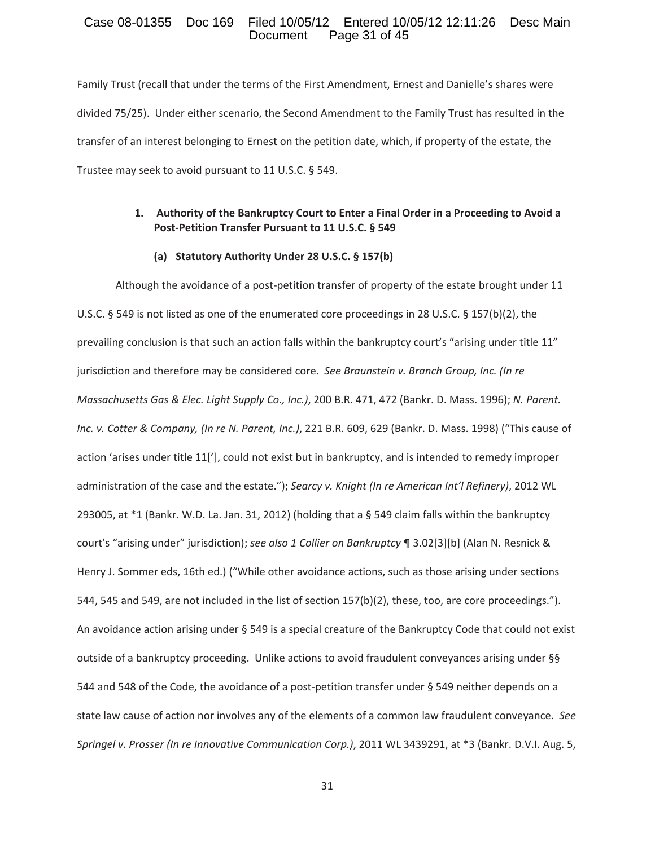### Case 08-01355 Doc 169 Filed 10/05/12 Entered 10/05/12 12:11:26 Desc Main<br>Document Page 31 of 45 Page 31 of 45

Family Trust (recall that under the terms of the First Amendment, Ernest and Danielle's shares were divided 75/25). Under either scenario, the Second Amendment to the Family Trust has resulted in the transfer of an interest belonging to Ernest on the petition date, which, if property of the estate, the Trustee may seek to avoid pursuant to 11 U.S.C. § 549.

# **1. Authority of the Bankruptcy Court to Enter a Final Order in a Proceeding to Avoid a PostͲPetition Transfer Pursuant to 11 U.S.C. § 549**

### **(a) Statutory Authority Under 28 U.S.C. § 157(b)**

Although the avoidance of a post-petition transfer of property of the estate brought under 11 U.S.C. § 549 is not listed as one of the enumerated core proceedings in 28 U.S.C. § 157(b)(2), the prevailing conclusion is that such an action falls within the bankruptcy court's "arising under title 11" jurisdiction and therefore may be considered core.*See Braunstein v. Branch Group, Inc. (In re Massachusetts Gas & Elec. Light Supply Co., Inc.)*, 200 B.R. 471, 472 (Bankr. D. Mass. 1996); *N. Parent. Inc. v. Cotter & Company, (In re N. Parent, Inc.)*, 221 B.R. 609, 629 (Bankr. D. Mass. 1998) ("This cause of action 'arises under title 11['], could not exist but in bankruptcy, and is intended to remedy improper administration of the case and the estate."); *Searcy v. Knight (In re American Int'l Refinery)*, 2012 WL 293005, at \*1 (Bankr. W.D. La. Jan. 31, 2012) (holding that a § 549 claim falls within the bankruptcy court's "arising under" jurisdiction); *see also 1 Collier on Bankruptcy* ¶ 3.02[3][b] (Alan N. Resnick & Henry J. Sommer eds, 16th ed.) ("While other avoidance actions, such as those arising under sections 544, 545 and 549, are not included in the list of section 157(b)(2), these, too, are core proceedings."). An avoidance action arising under § 549 is a special creature of the Bankruptcy Code that could not exist outside of a bankruptcy proceeding. Unlike actions to avoid fraudulent conveyances arising under §§ 544 and 548 of the Code, the avoidance of a post-petition transfer under § 549 neither depends on a state law cause of action nor involves any of the elements of a common law fraudulent conveyance.*See Springel v. Prosser (In re Innovative Communication Corp.)*, 2011 WL 3439291, at \*3 (Bankr. D.V.I. Aug. 5,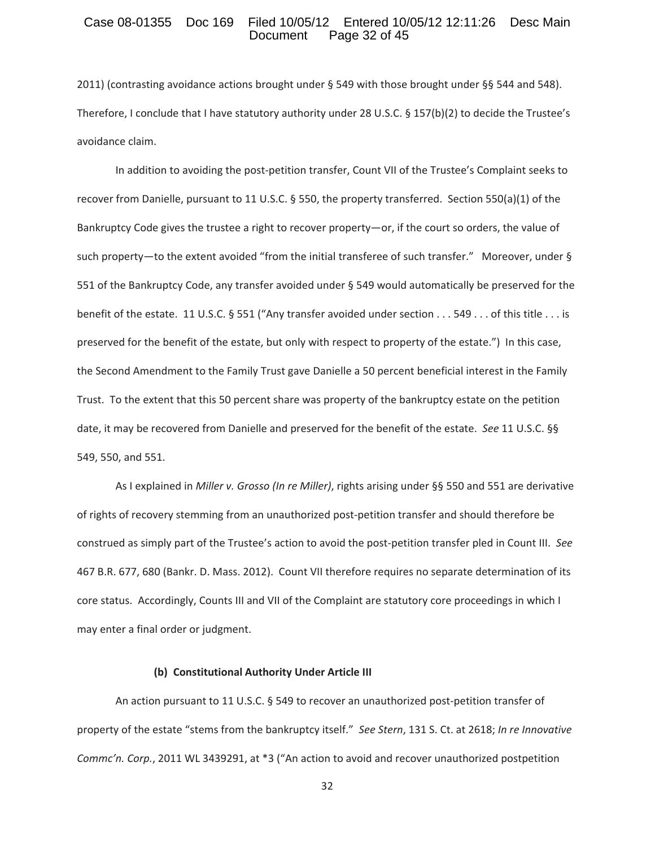### Case 08-01355 Doc 169 Filed 10/05/12 Entered 10/05/12 12:11:26 Desc Main<br>Document Page 32 of 45 Page 32 of 45

2011) (contrasting avoidance actions brought under § 549 with those brought under §§ 544 and 548). Therefore, I conclude that I have statutory authority under 28 U.S.C. § 157(b)(2) to decide the Trustee's avoidance claim.

In addition to avoiding the post-petition transfer, Count VII of the Trustee's Complaint seeks to recover from Danielle, pursuant to 11 U.S.C. § 550, the property transferred. Section 550(a)(1) of the Bankruptcy Code gives the trustee a right to recover property—or, if the court so orders, the value of such property—to the extent avoided "from the initial transferee of such transfer." Moreover, under § 551 of the Bankruptcy Code, any transfer avoided under § 549 would automatically be preserved for the benefit of the estate. 11 U.S.C. § 551 ("Any transfer avoided under section . . . 549 . . . of this title . . . is preserved for the benefit of the estate, but only with respect to property of the estate.") In this case, the Second Amendment to the Family Trust gave Danielle a 50 percent beneficial interest in the Family Trust. To the extent that this 50 percent share was property of the bankruptcy estate on the petition date, it may be recovered from Danielle and preserved for the benefit of the estate.*See* 11 U.S.C. §§ 549, 550, and 551.

As I explained in *Miller v. Grosso (In re Miller)*, rights arising under §§ 550 and 551 are derivative of rights of recovery stemming from an unauthorized post-petition transfer and should therefore be construed as simply part of the Trustee's action to avoid the post-petition transfer pled in Count III. See 467 B.R. 677, 680 (Bankr. D. Mass. 2012). Count VII therefore requires no separate determination of its core status. Accordingly, Counts III and VII of the Complaint are statutory core proceedings in which I may enter a final order or judgment.

#### **(b) Constitutional Authority Under Article III**

An action pursuant to 11 U.S.C. § 549 to recover an unauthorized post-petition transfer of property of the estate "stems from the bankruptcy itself."*See Stern*, 131 S. Ct. at 2618; *In re Innovative Commc'n. Corp.*, 2011 WL 3439291, at \*3 ("An action to avoid and recover unauthorized postpetition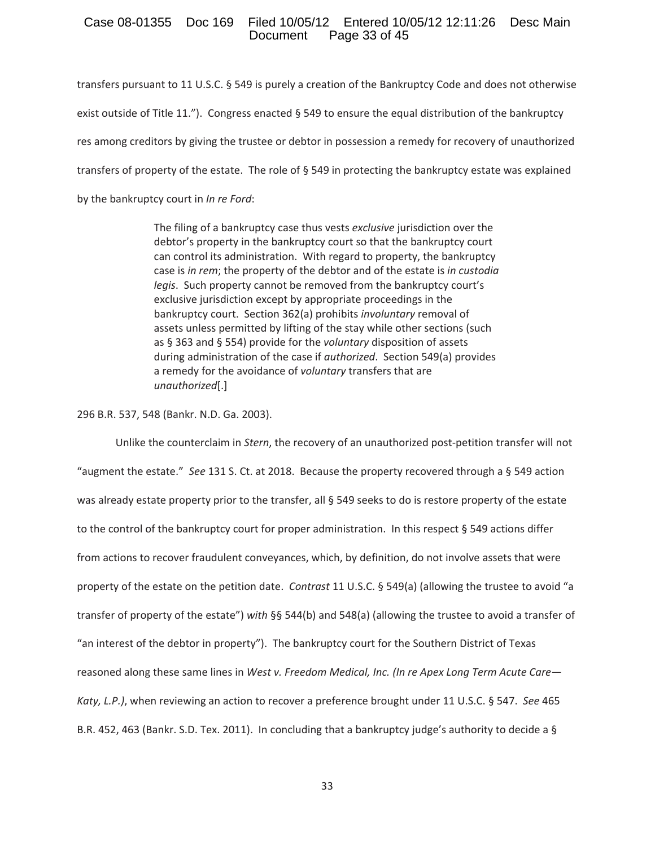### Case 08-01355 Doc 169 Filed 10/05/12 Entered 10/05/12 12:11:26 Desc Main Page 33 of 45

transfers pursuant to 11 U.S.C. § 549 is purely a creation of the Bankruptcy Code and does not otherwise exist outside of Title 11."). Congress enacted § 549 to ensure the equal distribution of the bankruptcy res among creditors by giving the trustee or debtor in possession a remedy for recovery of unauthorized transfers of property of the estate. The role of  $\S$  549 in protecting the bankruptcy estate was explained by the bankruptcy court in *In re Ford*:

> The filing of a bankruptcy case thus vests *exclusive* jurisdiction over the debtor's property in the bankruptcy court so that the bankruptcy court can control its administration. With regard to property, the bankruptcy case is *in rem*; the property of the debtor and of the estate is *in custodia legis*. Such property cannot be removed from the bankruptcy court's exclusive jurisdiction except by appropriate proceedings in the bankruptcy court. Section 362(a) prohibits *involuntary* removal of assets unless permitted by lifting of the stay while other sections (such as § 363 and § 554) provide for the *voluntary* disposition of assets during administration of the case if *authorized*. Section 549(a) provides a remedy for the avoidance of *voluntary* transfers that are *unauthorized*[.]

296 B.R. 537, 548 (Bankr. N.D. Ga. 2003).

Unlike the counterclaim in *Stern*, the recovery of an unauthorized post-petition transfer will not "augment the estate." See 131 S. Ct. at 2018. Because the property recovered through a § 549 action was already estate property prior to the transfer, all § 549 seeks to do is restore property of the estate to the control of the bankruptcy court for proper administration. In this respect  $\S$  549 actions differ from actions to recover fraudulent conveyances, which, by definition, do not involve assets that were property of the estate on the petition date.*Contrast* 11 U.S.C. § 549(a) (allowing the trustee to avoid "a transfer of property of the estate") *with* §§ 544(b) and 548(a) (allowing the trustee to avoid a transfer of "an interest of the debtor in property"). The bankruptcy court for the Southern District of Texas reasoned along these same lines in *West v. Freedom Medical, Inc. (In re Apex Long Term Acute Care— Katy, L.P.)*, when reviewing an action to recover a preference brought under 11 U.S.C. § 547.*See* 465 B.R. 452, 463 (Bankr. S.D. Tex. 2011). In concluding that a bankruptcy judge's authority to decide a  $\S$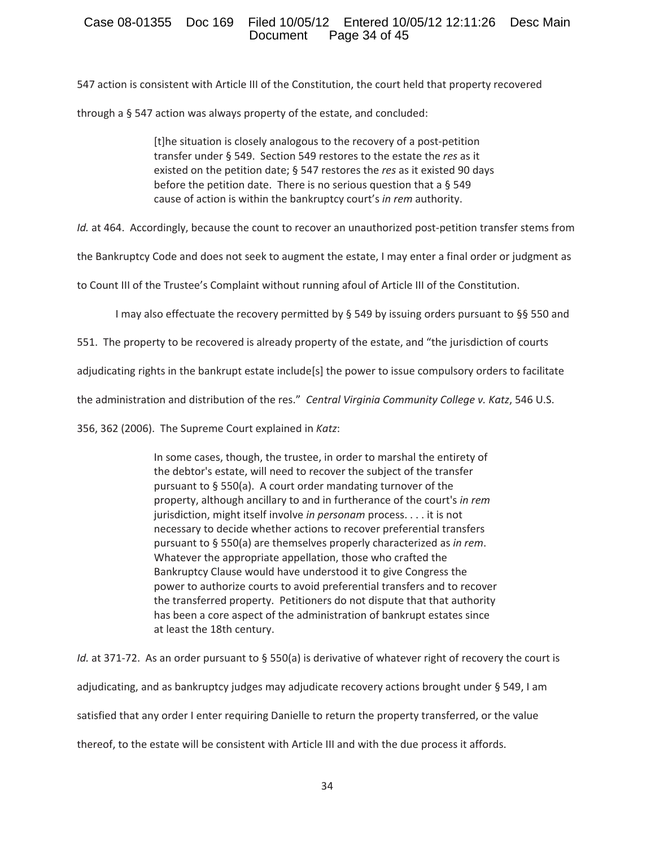# Case 08-01355 Doc 169 Filed 10/05/12 Entered 10/05/12 12:11:26 Desc Main Page 34 of  $45$

547 action is consistent with Article III of the Constitution, the court held that property recovered

through a § 547 action was always property of the estate, and concluded:

[t]he situation is closely analogous to the recovery of a post-petition transfer under § 549. Section 549 restores to the estate the *res* as it existed on the petition date; § 547 restores the *res* as it existed 90 days before the petition date. There is no serious question that a  $\S$  549 cause of action is within the bankruptcy court's *in rem* authority.

*Id.* at 464. Accordingly, because the count to recover an unauthorized post-petition transfer stems from

the Bankruptcy Code and does not seek to augment the estate, I may enter a final order or judgment as

to Count III of the Trustee's Complaint without running afoul of Article III of the Constitution.

I may also effectuate the recovery permitted by § 549 by issuing orders pursuant to §§ 550 and

551. The property to be recovered is already property of the estate, and "the jurisdiction of courts

adjudicating rights in the bankrupt estate include[s] the power to issue compulsory orders to facilitate

the administration and distribution of the res."*Central Virginia Community College v. Katz*, 546 U.S.

356, 362 (2006).The Supreme Court explained in *Katz*:

In some cases, though, the trustee, in order to marshal the entirety of the debtor's estate, will need to recover the subject of the transfer pursuant to  $\S$  550(a). A court order mandating turnover of the property, although ancillary to and in furtherance of the court's *in rem* jurisdiction, might itself involve *in personam* process. . . . it is not necessary to decide whether actions to recover preferential transfers pursuant to § 550(a) are themselves properly characterized as *in rem*. Whatever the appropriate appellation, those who crafted the Bankruptcy Clause would have understood it to give Congress the power to authorize courts to avoid preferential transfers and to recover the transferred property. Petitioners do not dispute that that authority has been a core aspect of the administration of bankrupt estates since at least the 18th century.

*Id.* at 371-72. As an order pursuant to § 550(a) is derivative of whatever right of recovery the court is adjudicating, and as bankruptcy judges may adjudicate recovery actions brought under § 549, I am satisfied that any order I enter requiring Danielle to return the property transferred, or the value

thereof, to the estate will be consistent with Article III and with the due process it affords.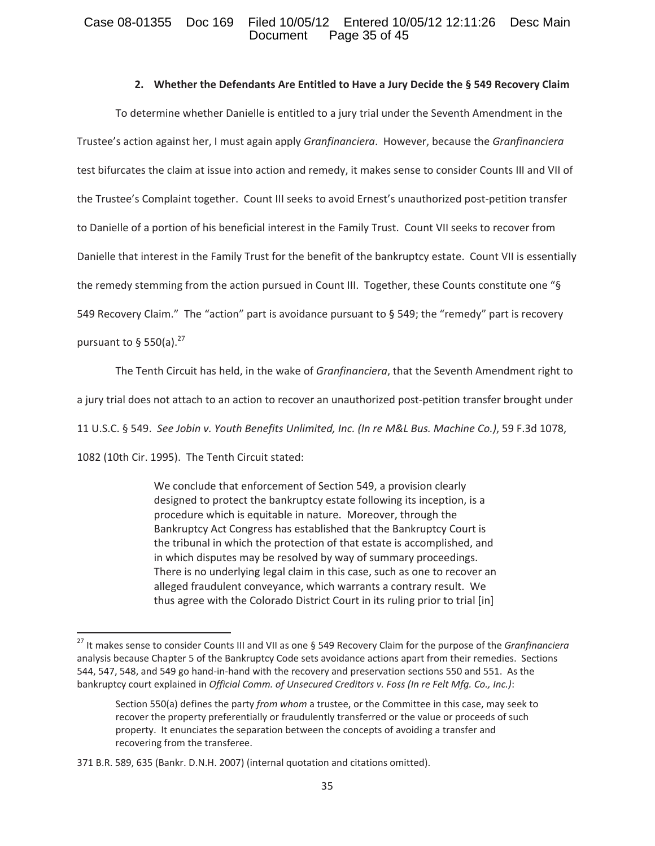# Case 08-01355 Doc 169 Filed 10/05/12 Entered 10/05/12 12:11:26 Desc Main<br>Document Page 35 of 45 Page  $35$  of  $45$

### **2. Whether the Defendants Are Entitled to Have a Jury Decide the § 549 Recovery Claim**

To determine whether Danielle is entitled to a jury trial under the Seventh Amendment in the Trustee's action against her, I must again apply *Granfinanciera*. However, because the *Granfinanciera* test bifurcates the claim at issue into action and remedy, it makes sense to consider Counts III and VII of the Trustee's Complaint together. Count III seeks to avoid Ernest's unauthorized post-petition transfer to Danielle of a portion of his beneficial interest in the Family Trust. Count VII seeks to recover from Danielle that interest in the Family Trust for the benefit of the bankruptcy estate. Count VII is essentially the remedy stemming from the action pursued in Count III. Together, these Counts constitute one "§ 549 Recovery Claim."The "action" part is avoidance pursuant to § 549; the "remedy" part is recovery pursuant to § 550(a). $27$ 

The Tenth Circuit has held, in the wake of *Granfinanciera*, that the Seventh Amendment right to

a jury trial does not attach to an action to recover an unauthorized post-petition transfer brought under

11 U.S.C. § 549.*See Jobin v. Youth Benefits Unlimited, Inc. (In re M&L Bus. Machine Co.)*, 59 F.3d 1078,

1082 (10th Cir. 1995). The Tenth Circuit stated:

We conclude that enforcement of Section 549, a provision clearly designed to protect the bankruptcy estate following its inception, is a procedure which is equitable in nature. Moreover, through the Bankruptcy Act Congress has established that the Bankruptcy Court is the tribunal in which the protection of that estate is accomplished, and in which disputes may be resolved by way of summary proceedings. There is no underlying legal claim in this case, such as one to recover an alleged fraudulent conveyance, which warrants a contrary result. We thus agree with the Colorado District Court in its ruling prior to trial [in]

<sup>27</sup> It makes sense to consider Counts III and VII as one § 549 Recovery Claim for the purpose of the *Granfinanciera* analysis because Chapter 5 of the Bankruptcy Code sets avoidance actions apart from their remedies. Sections 544, 547, 548, and 549 go hand-in-hand with the recovery and preservation sections 550 and 551. As the bankruptcy court explained in *Official Comm. of Unsecured Creditors v. Foss (In re Felt Mfg. Co., Inc.)*:

Section 550(a) defines the party *from whom* a trustee, or the Committee in this case, may seek to recover the property preferentially or fraudulently transferred or the value or proceeds of such property. It enunciates the separation between the concepts of avoiding a transfer and recovering from the transferee.

<sup>371</sup> B.R. 589, 635 (Bankr. D.N.H. 2007) (internal quotation and citations omitted).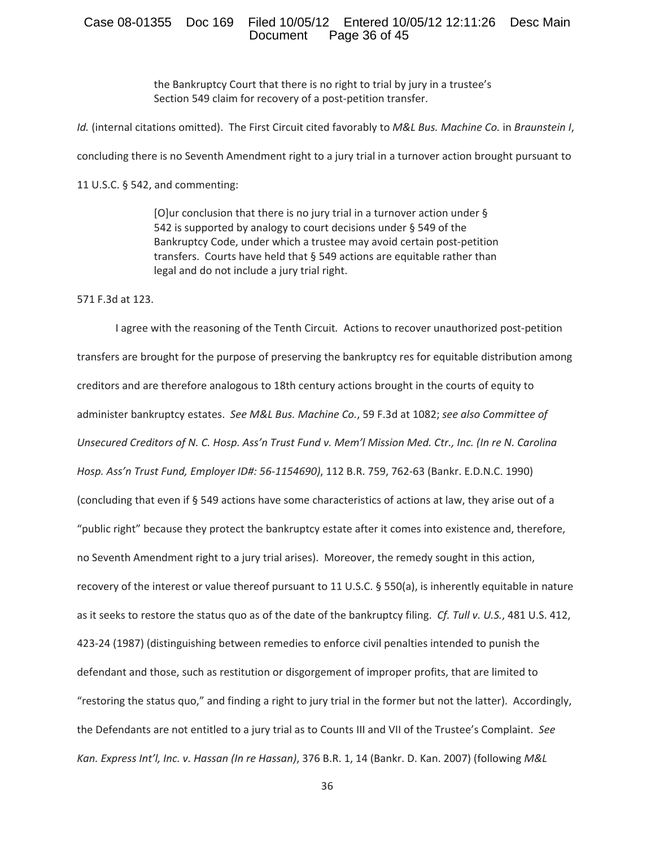### Case 08-01355 Doc 169 Filed 10/05/12 Entered 10/05/12 12:11:26 Desc Main<br>Document Page 36 of 45 Page 36 of 45

the Bankruptcy Court that there is no right to trial by jury in a trustee's Section 549 claim for recovery of a post-petition transfer.

*Id.* (internal citations omitted). The First Circuit cited favorably to *M&L Bus. Machine Co.* in *Braunstein I*,

concluding there is no Seventh Amendment right to a jury trial in a turnover action brought pursuant to

11 U.S.C. § 542, and commenting:

[O]ur conclusion that there is no jury trial in a turnover action under § 542 is supported by analogy to court decisions under § 549 of the Bankruptcy Code, under which a trustee may avoid certain post-petition transfers. Courts have held that  $\S$  549 actions are equitable rather than legal and do not include a jury trial right.

571 F.3d at 123.

I agree with the reasoning of the Tenth Circuit. Actions to recover unauthorized post-petition transfers are brought for the purpose of preserving the bankruptcy res for equitable distribution among creditors and are therefore analogous to 18th century actions brought in the courts of equity to administer bankruptcy estates.*See M&L Bus. Machine Co.*, 59 F.3d at 1082; *see also Committee of* Unsecured Creditors of N. C. Hosp. Ass'n Trust Fund v. Mem'l Mission Med. Ctr., Inc. (In re N. Carolina *Hosp. Ass'n Trust Fund, Employer ID#: 56Ͳ1154690)*, 112 B.R. 759, 762Ͳ63 (Bankr. E.D.N.C. 1990) (concluding that even if § 549 actions have some characteristics of actions at law, they arise out of a "public right" because they protect the bankruptcy estate after it comes into existence and, therefore, no Seventh Amendment right to a jury trial arises). Moreover, the remedy sought in this action, recovery of the interest or value thereof pursuant to 11 U.S.C. § 550(a), is inherently equitable in nature as it seeks to restore the status quo as of the date of the bankruptcy filing.*Cf. Tull v. U.S.*, 481 U.S. 412, 423-24 (1987) (distinguishing between remedies to enforce civil penalties intended to punish the defendant and those, such as restitution or disgorgement of improper profits, that are limited to "restoring the status quo," and finding a right to jury trial in the former but not the latter). Accordingly, the Defendants are not entitled to a jury trial as to Counts III and VII of the Trustee's Complaint.*See Kan. Express Int'l, Inc. v. Hassan (In re Hassan)*, 376 B.R. 1, 14 (Bankr. D. Kan. 2007) (following *M&L*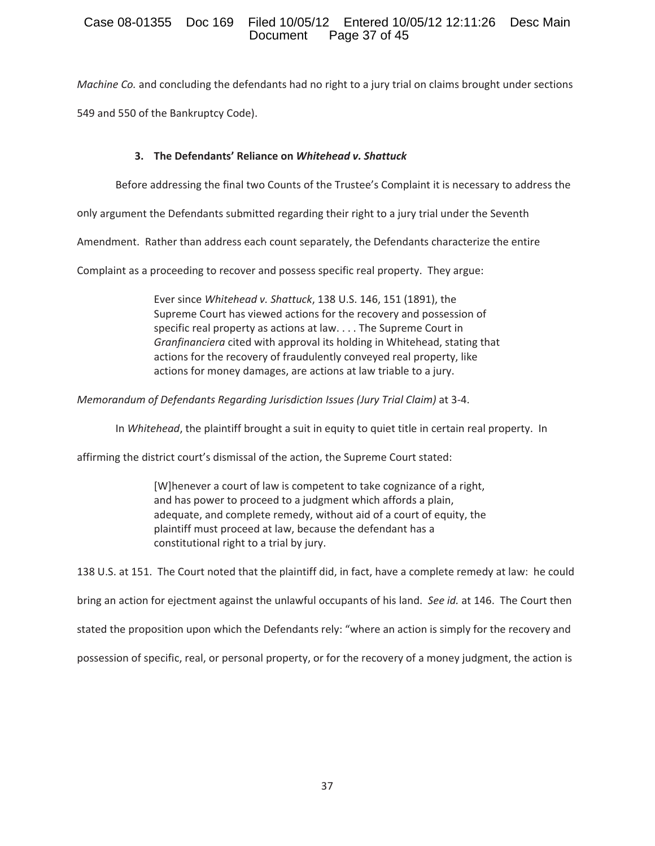# Case 08-01355 Doc 169 Filed 10/05/12 Entered 10/05/12 12:11:26 Desc Main Page 37 of 45

*Machine Co.* and concluding the defendants had no right to a jury trial on claims brought under sections 549 and 550 of the Bankruptcy Code).

# **3. The Defendants' Reliance on** *Whitehead v. Shattuck*

Before addressing the final two Counts of the Trustee's Complaint it is necessary to address the

only argument the Defendants submitted regarding their right to a jury trial under the Seventh

Amendment. Rather than address each count separately, the Defendants characterize the entire

Complaint as a proceeding to recover and possess specific real property. They argue:

Ever since *Whitehead v. Shattuck*, 138 U.S. 146, 151 (1891), the Supreme Court has viewed actions for the recovery and possession of specific real property as actions at law. . . . The Supreme Court in *Granfinanciera* cited with approval its holding in Whitehead, stating that actions for the recovery of fraudulently conveyed real property, like actions for money damages, are actions at law triable to a jury.

*Memorandum of Defendants Regarding Jurisdiction <i>Issues (Jury Trial Claim)* at 3-4.

In *Whitehead*, the plaintiff brought a suit in equity to quiet title in certain real property. In

affirming the district court's dismissal of the action, the Supreme Court stated:

[W]henever a court of law is competent to take cognizance of a right, and has power to proceed to a judgment which affords a plain, adequate, and complete remedy, without aid of a court of equity, the plaintiff must proceed at law, because the defendant has a constitutional right to a trial by jury.

138 U.S. at 151. The Court noted that the plaintiff did, in fact, have a complete remedy at law: he could bring an action for ejectment against the unlawful occupants of his land.*See id.* at 146.The Court then stated the proposition upon which the Defendants rely: "where an action is simply for the recovery and possession of specific, real, or personal property, or for the recovery of a money judgment, the action is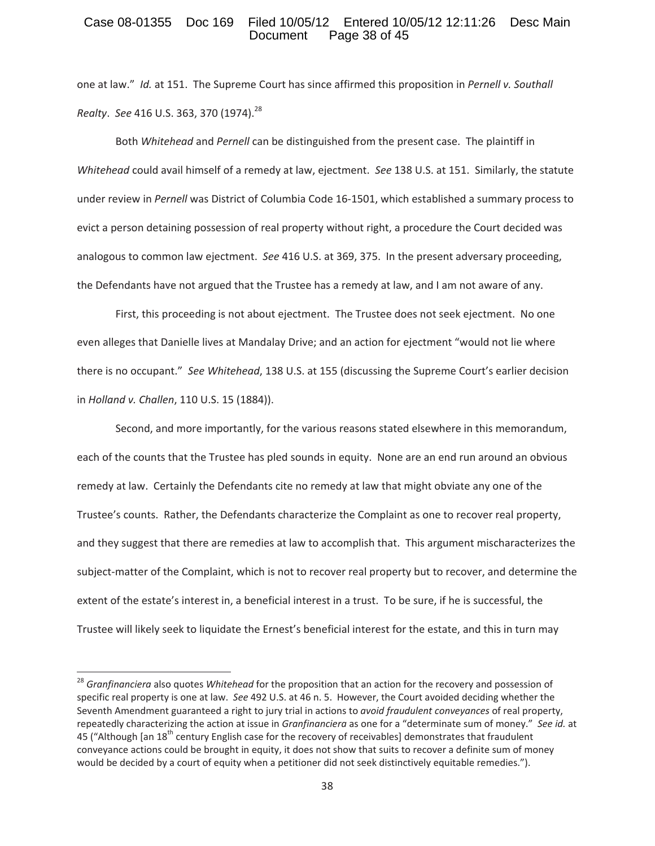### Case 08-01355 Doc 169 Filed 10/05/12 Entered 10/05/12 12:11:26 Desc Main Page 38 of 45

one at law."*Id.* at 151.The Supreme Court has since affirmed this proposition in *Pernell v. Southall Realty. See* 416 U.S. 363, 370 (1974).<sup>28</sup>

Both *Whitehead* and *Pernell* can be distinguished from the present case.The plaintiff in *Whitehead* could avail himself of a remedy at law, ejectment. See 138 U.S. at 151. Similarly, the statute under review in *Pernell* was District of Columbia Code 16-1501, which established a summary process to evict a person detaining possession of real property without right, a procedure the Court decided was analogous to common law ejectment. See 416 U.S. at 369, 375. In the present adversary proceeding, the Defendants have not argued that the Trustee has a remedy at law, and I am not aware of any.

First, this proceeding is not about ejectment. The Trustee does not seek ejectment. No one even alleges that Danielle lives at Mandalay Drive; and an action for ejectment "would not lie where there is no occupant."*See Whitehead*, 138 U.S. at 155 (discussing the Supreme Court's earlier decision in *Holland v. Challen*, 110 U.S. 15 (1884)).

Second, and more importantly, for the various reasons stated elsewhere in this memorandum, each of the counts that the Trustee has pled sounds in equity. None are an end run around an obvious remedy at law. Certainly the Defendants cite no remedy at law that might obviate any one of the Trustee's counts. Rather, the Defendants characterize the Complaint as one to recover real property, and they suggest that there are remedies at law to accomplish that. This argument mischaracterizes the subject-matter of the Complaint, which is not to recover real property but to recover, and determine the extent of the estate's interest in, a beneficial interest in a trust. To be sure, if he is successful, the Trustee will likely seek to liquidate the Ernest's beneficial interest for the estate, and this in turn may

<sup>28</sup> *Granfinanciera* also quotes *Whitehead* for the proposition that an action for the recovery and possession of specific real property is one at law. See 492 U.S. at 46 n. 5. However, the Court avoided deciding whether the Seventh Amendment guaranteed a right to jury trial in actions to *avoid fraudulent conveyances* of real property, repeatedly characterizing the action at issue in *Granfinanciera* as one for a "determinate sum of money."*See id.* at 45 ("Although [an 18<sup>th</sup> century English case for the recovery of receivables] demonstrates that fraudulent conveyance actions could be brought in equity, it does not show that suits to recover a definite sum of money would be decided by a court of equity when a petitioner did not seek distinctively equitable remedies.").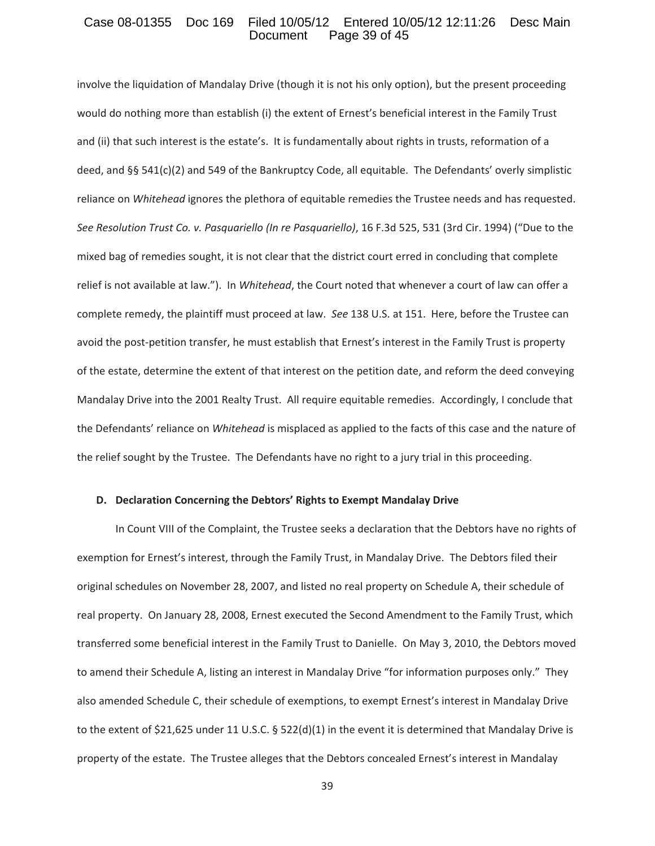### Case 08-01355 Doc 169 Filed 10/05/12 Entered 10/05/12 12:11:26 Desc Main<br>Document Page 39 of 45 Page 39 of 45

involve the liquidation of Mandalay Drive (though it is not his only option), but the present proceeding would do nothing more than establish (i) the extent of Ernest's beneficial interest in the Family Trust and (ii) that such interest is the estate's. It is fundamentally about rights in trusts, reformation of a deed, and §§ 541(c)(2) and 549 of the Bankruptcy Code, all equitable. The Defendants' overly simplistic reliance on *Whitehead* ignores the plethora of equitable remedies the Trustee needs and has requested. *See Resolution Trust Co. v. Pasquariello (In re Pasquariello)*, 16 F.3d 525, 531 (3rd Cir. 1994) ("Due to the mixed bag of remedies sought, it is not clear that the district court erred in concluding that complete relief is not available at law."). In *Whitehead*, the Court noted that whenever a court of law can offer a complete remedy, the plaintiff must proceed at law. See 138 U.S. at 151. Here, before the Trustee can avoid the post-petition transfer, he must establish that Ernest's interest in the Family Trust is property of the estate, determine the extent of that interest on the petition date, and reform the deed conveying Mandalay Drive into the 2001 Realty Trust. All require equitable remedies. Accordingly, I conclude that the Defendants' reliance on *Whitehead* is misplaced as applied to the facts of this case and the nature of the relief sought by the Trustee. The Defendants have no right to a jury trial in this proceeding.

#### **D. Declaration Concerning the Debtors' Rights to Exempt Mandalay Drive**

In Count VIII of the Complaint, the Trustee seeks a declaration that the Debtors have no rights of exemption for Ernest's interest, through the Family Trust, in Mandalay Drive. The Debtors filed their original schedules on November 28, 2007, and listed no real property on Schedule A, their schedule of real property. On January 28, 2008, Ernest executed the Second Amendment to the Family Trust, which transferred some beneficial interest in the Family Trust to Danielle.On May 3, 2010, the Debtors moved to amend their Schedule A, listing an interest in Mandalay Drive "for information purposes only." They also amended Schedule C, their schedule of exemptions, to exempt Ernest's interest in Mandalay Drive to the extent of \$21,625 under 11 U.S.C. § 522(d)(1) in the event it is determined that Mandalay Drive is property of the estate. The Trustee alleges that the Debtors concealed Ernest's interest in Mandalay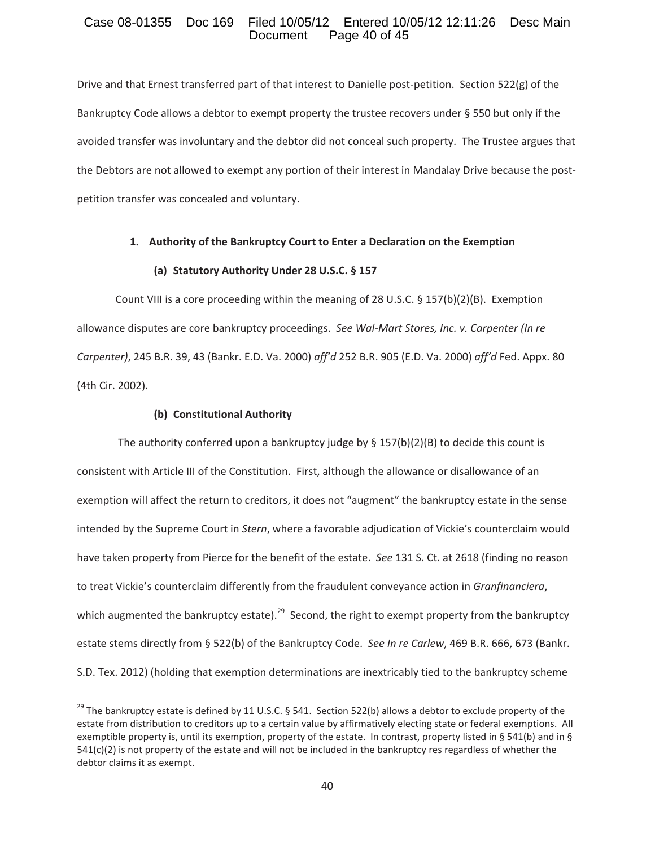### Case 08-01355 Doc 169 Filed 10/05/12 Entered 10/05/12 12:11:26 Desc Main Page 40 of 45

Drive and that Ernest transferred part of that interest to Danielle post-petition. Section 522(g) of the Bankruptcy Code allows a debtor to exempt property the trustee recovers under § 550 but only if the avoided transfer was involuntary and the debtor did not conceal such property. The Trustee argues that the Debtors are not allowed to exempt any portion of their interest in Mandalay Drive because the postpetition transfer was concealed and voluntary.

#### **1. Authority of the Bankruptcy Court to Enter a Declaration on the Exemption**

### **(a) Statutory Authority Under 28 U.S.C. § 157**

Count VIII is a core proceeding within the meaning of 28 U.S.C.  $\S$  157(b)(2)(B). Exemption allowance disputes are core bankruptcy proceedings.*See WalͲMart Stores, Inc. v. Carpenter (In re Carpenter)*, 245 B.R. 39, 43 (Bankr. E.D. Va. 2000) *aff'd* 252 B.R. 905 (E.D. Va. 2000) *aff'd* Fed. Appx. 80 (4th Cir. 2002).

#### **(b) Constitutional Authority**

The authority conferred upon a bankruptcy judge by  $\S$  157(b)(2)(B) to decide this count is consistent with Article III of the Constitution. First, although the allowance or disallowance of an exemption will affect the return to creditors, it does not "augment" the bankruptcy estate in the sense intended by the Supreme Court in *Stern*, where a favorable adjudication of Vickie's counterclaim would have taken property from Pierce for the benefit of the estate.*See* 131 S. Ct. at 2618 (finding no reason to treat Vickie's counterclaim differently from the fraudulent conveyance action in *Granfinanciera*, which augmented the bankruptcy estate).<sup>29</sup> Second, the right to exempt property from the bankruptcy estate stems directly from § 522(b) of the Bankruptcy Code.*See In re Carlew*, 469 B.R. 666, 673 (Bankr. S.D. Tex. 2012) (holding that exemption determinations are inextricably tied to the bankruptcy scheme

<sup>&</sup>lt;sup>29</sup> The bankruptcy estate is defined by 11 U.S.C. § 541. Section 522(b) allows a debtor to exclude property of the estate from distribution to creditors up to a certain value by affirmatively electing state or federal exemptions. All exemptible property is, until its exemption, property of the estate. In contrast, property listed in § 541(b) and in § 541(c)(2) is not property of the estate and will not be included in the bankruptcy res regardless of whether the debtor claims it as exempt.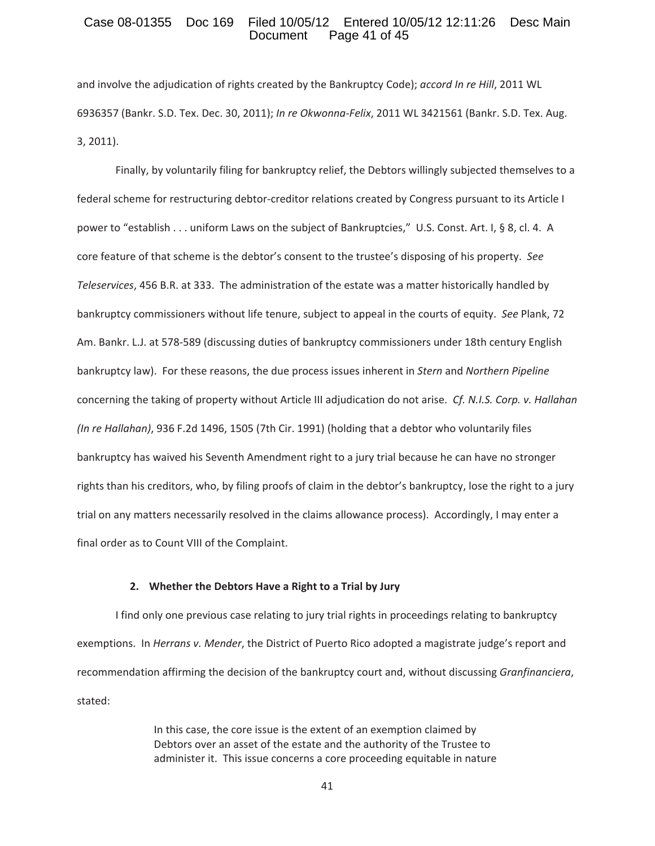### Case 08-01355 Doc 169 Filed 10/05/12 Entered 10/05/12 12:11:26 Desc Main Page 41 of 45

and involve the adjudication of rights created by the Bankruptcy Code); *accord In re Hill*, 2011 WL 6936357 (Bankr. S.D. Tex. Dec. 30, 2011); *In re OkwonnaͲFelix*, 2011 WL 3421561 (Bankr. S.D. Tex. Aug. 3, 2011).

Finally, by voluntarily filing for bankruptcy relief, the Debtors willingly subjected themselves to a federal scheme for restructuring debtor-creditor relations created by Congress pursuant to its Article I power to "establish . . . uniform Laws on the subject of Bankruptcies," U.S. Const. Art. I, § 8, cl. 4. A core feature of that scheme is the debtor's consent to the trustee's disposing of his property.*See Teleservices*, 456 B.R. at 333.The administration of the estate was a matter historically handled by bankruptcy commissioners without life tenure, subject to appeal in the courts of equity.*See* Plank, 72 Am. Bankr. L.J. at 578-589 (discussing duties of bankruptcy commissioners under 18th century English bankruptcy law). For these reasons, the due process issues inherent in *Stern* and *Northern Pipeline* concerning the taking of property without Article III adjudication do not arise.*Cf. N.I.S. Corp. v. Hallahan (In re Hallahan)*, 936 F.2d 1496, 1505 (7th Cir. 1991) (holding that a debtor who voluntarily files bankruptcy has waived his Seventh Amendment right to a jury trial because he can have no stronger rights than his creditors, who, by filing proofs of claim in the debtor's bankruptcy, lose the right to a jury trial on any matters necessarily resolved in the claims allowance process). Accordingly, I may enter a final order as to Count VIII of the Complaint.

#### **2. Whether the Debtors Have a Right to a Trial by Jury**

I find only one previous case relating to jury trial rights in proceedings relating to bankruptcy exemptions.In *Herrans v. Mender*, the District of Puerto Rico adopted a magistrate judge's report and recommendation affirming the decision of the bankruptcy court and, without discussing *Granfinanciera*, stated:

> In this case, the core issue is the extent of an exemption claimed by Debtors over an asset of the estate and the authority of the Trustee to administer it. This issue concerns a core proceeding equitable in nature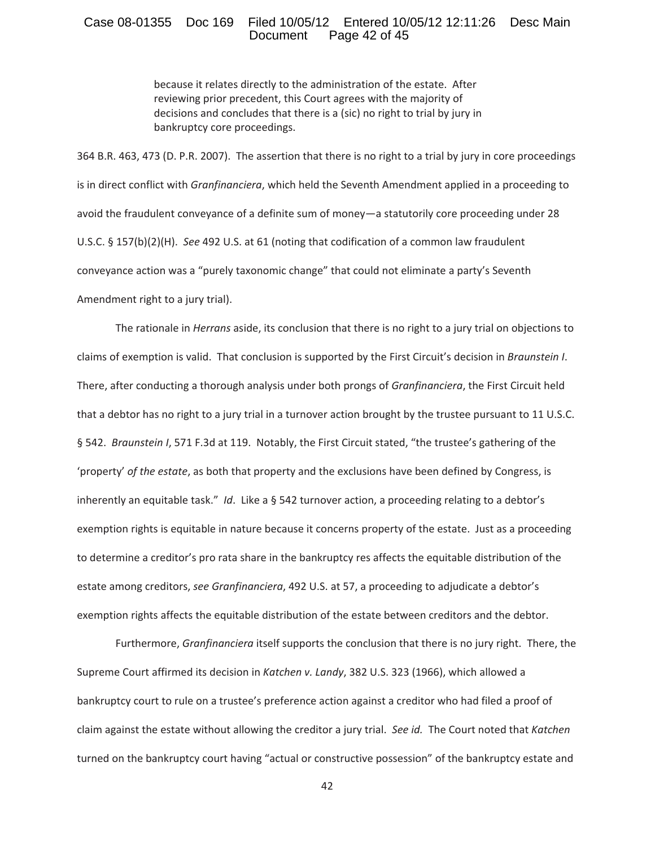### Case 08-01355 Doc 169 Filed 10/05/12 Entered 10/05/12 12:11:26 Desc Main<br>Document Page 42 of 45 Page 42 of 45

because it relates directly to the administration of the estate. After reviewing prior precedent, this Court agrees with the majority of decisions and concludes that there is a (sic) no right to trial by jury in bankruptcy core proceedings.

364 B.R. 463, 473 (D. P.R. 2007). The assertion that there is no right to a trial by jury in core proceedings is in direct conflict with *Granfinanciera*, which held the Seventh Amendment applied in a proceeding to avoid the fraudulent conveyance of a definite sum of money—a statutorily core proceeding under 28 U.S.C. § 157(b)(2)(H).*See* 492 U.S. at 61 (noting that codification of a common law fraudulent conveyance action was a "purely taxonomic change" that could not eliminate a party's Seventh Amendment right to a jury trial).

The rationale in *Herrans* aside, its conclusion that there is no right to a jury trial on objections to claims of exemption is valid.That conclusion is supported by the First Circuit's decision in *Braunstein I*. There, after conducting a thorough analysis under both prongs of *Granfinanciera*, the First Circuit held that a debtor has no right to a jury trial in a turnover action brought by the trustee pursuant to 11 U.S.C. § 542. *Braunstein I*, 571 F.3d at 119. Notably, the First Circuit stated, "the trustee's gathering of the 'property' *of the estate*, as both that property and the exclusions have been defined by Congress, is inherently an equitable task."*Id*.Like a § 542 turnover action, a proceeding relating to a debtor's exemption rights is equitable in nature because it concerns property of the estate. Just as a proceeding to determine a creditor's pro rata share in the bankruptcy res affects the equitable distribution of the estate among creditors, *see Granfinanciera*, 492 U.S. at 57, a proceeding to adjudicate a debtor's exemption rights affects the equitable distribution of the estate between creditors and the debtor.

Furthermore, *Granfinanciera* itself supports the conclusion that there is no jury right. There, the Supreme Court affirmed its decision in *Katchen v. Landy*, 382 U.S. 323 (1966), which allowed a bankruptcy court to rule on a trustee's preference action against a creditor who had filed a proof of claim against the estate without allowing the creditor a jury trial.*See id.*The Court noted that *Katchen* turned on the bankruptcy court having "actual or constructive possession" of the bankruptcy estate and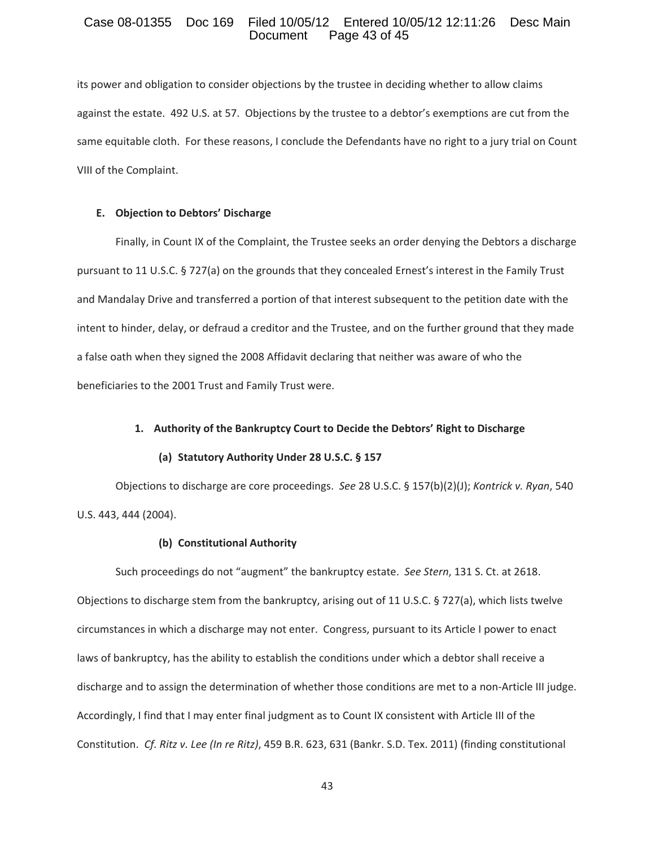### Case 08-01355 Doc 169 Filed 10/05/12 Entered 10/05/12 12:11:26 Desc Main<br>Document Page 43 of 45 Page 43 of 45

its power and obligation to consider objections by the trustee in deciding whether to allow claims against the estate. 492 U.S. at 57. Objections by the trustee to a debtor's exemptions are cut from the same equitable cloth. For these reasons, I conclude the Defendants have no right to a jury trial on Count VIII of the Complaint.

#### **E. Objection to Debtors' Discharge**

Finally, in Count IX of the Complaint, the Trustee seeks an order denying the Debtors a discharge pursuant to 11 U.S.C. § 727(a) on the grounds that they concealed Ernest's interest in the Family Trust and Mandalay Drive and transferred a portion of that interest subsequent to the petition date with the intent to hinder, delay, or defraud a creditor and the Trustee, and on the further ground that they made a false oath when they signed the 2008 Affidavit declaring that neither was aware of who the beneficiaries to the 2001 Trust and Family Trust were.

### **1. Authority of the Bankruptcy Court to Decide the Debtors' Right to Discharge**

#### **(a) Statutory Authority Under 28 U.S.C. § 157**

Objections to discharge are core proceedings.*See* 28 U.S.C. § 157(b)(2)(J); *Kontrick v. Ryan*, 540 U.S. 443, 444 (2004).

### **(b) Constitutional Authority**

Such proceedings do not "augment" the bankruptcy estate.*See Stern*, 131 S. Ct. at 2618. Objections to discharge stem from the bankruptcy, arising out of 11 U.S.C. § 727(a), which lists twelve circumstances in which a discharge may not enter. Congress, pursuant to its Article I power to enact laws of bankruptcy, has the ability to establish the conditions under which a debtor shall receive a discharge and to assign the determination of whether those conditions are met to a non-Article III judge. Accordingly, I find that I may enter final judgment as to Count IX consistent with Article III of the Constitution.*Cf. Ritz v. Lee (In re Ritz)*, 459 B.R. 623, 631 (Bankr. S.D. Tex. 2011) (finding constitutional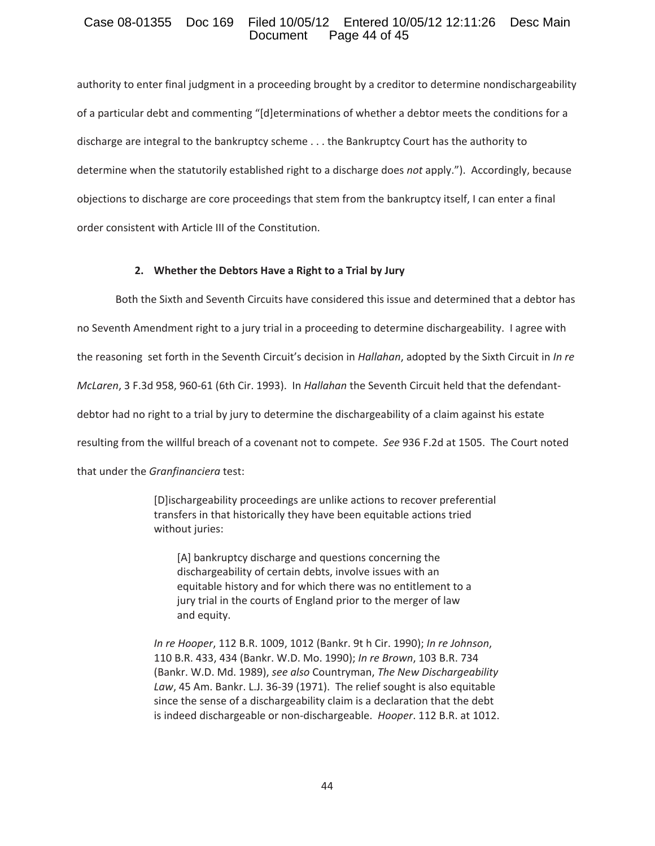### Case 08-01355 Doc 169 Filed 10/05/12 Entered 10/05/12 12:11:26 Desc Main Page 44 of 45

authority to enter final judgment in a proceeding brought by a creditor to determine nondischargeability of a particular debt and commenting "[d]eterminations of whether a debtor meets the conditions for a discharge are integral to the bankruptcy scheme . . . the Bankruptcy Court has the authority to determine when the statutorily established right to a discharge does *not* apply."). Accordingly, because objections to discharge are core proceedings that stem from the bankruptcy itself, I can enter a final order consistent with Article III of the Constitution.

### **2. Whether the Debtors Have a Right to a Trial by Jury**

Both the Sixth and Seventh Circuits have considered this issue and determined that a debtor has no Seventh Amendment right to a jury trial in a proceeding to determine dischargeability. I agree with the reasoning set forth in the Seventh Circuit's decision in *Hallahan*, adopted by the Sixth Circuit in *In re McLaren,* 3 F.3d 958, 960-61 (6th Cir. 1993). In *Hallahan* the Seventh Circuit held that the defendantdebtor had no right to a trial by jury to determine the dischargeability of a claim against his estate resulting from the willful breach of a covenant not to compete. See 936 F.2d at 1505. The Court noted that under the *Granfinanciera* test:

> [D]ischargeability proceedings are unlike actions to recover preferential transfers in that historically they have been equitable actions tried without juries:

[A] bankruptcy discharge and questions concerning the dischargeability of certain debts, involve issues with an equitable history and for which there was no entitlement to a jury trial in the courts of England prior to the merger of law and equity.

*In re Hooper*, 112 B.R. 1009, 1012 (Bankr. 9t h Cir. 1990); *In re Johnson*, 110 B.R. 433, 434 (Bankr. W.D. Mo. 1990); *In re Brown*, 103 B.R. 734 (Bankr. W.D. Md. 1989), *see also* Countryman, *The New Dischargeability* Law, 45 Am. Bankr. L.J. 36-39 (1971). The relief sought is also equitable since the sense of a dischargeability claim is a declaration that the debt is indeed dischargeable or non-dischargeable. Hooper. 112 B.R. at 1012.